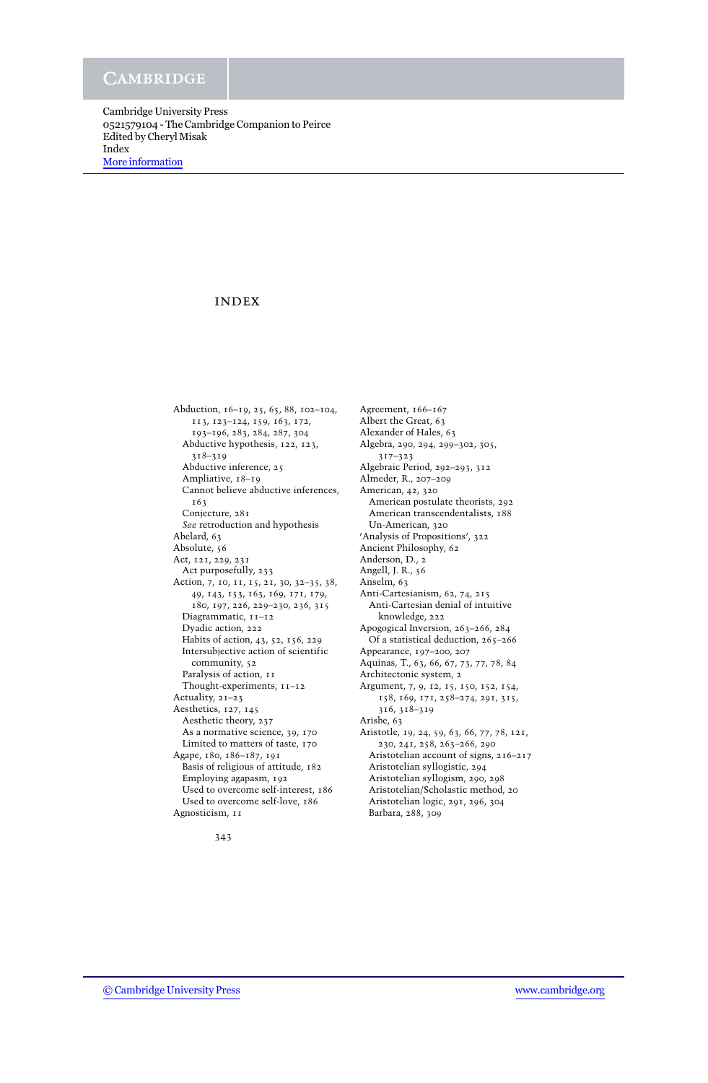# index

Abduction, 16–19, 25, 65, 88, 102–104, 113, 123–124, 159, 163, 172, 193–196, 283, 284, 287, 304 Abductive hypothesis, 122, 123, 318–319 Abductive inference, 25 Ampliative, 18–19 Cannot believe abductive inferences, 163 Conjecture, 281 *See* retroduction and hypothesis Abelard, 63 Absolute, 56 Act, 121, 229, 231 Act purposefully, 233 Action, 7, 10, 11, 15, 21, 30, 32–35, 38, 49, 143, 153, 163, 169, 171, 179, 180, 197, 226, 229–230, 236, 315 Diagrammatic, 11-12 Dyadic action, 222 Habits of action, 43, 52, 156, 229 Intersubjective action of scientific community, 52 Paralysis of action,  $11$ Thought-experiments, 11–12 Actuality, 21–23 Aesthetics, 127, 145 Aesthetic theory, 237 As a normative science, 39, 170 Limited to matters of taste, 170 Agape, 180, 186–187, 191 Basis of religious of attitude, 182 Employing agapasm, 192 Used to overcome self-interest, 186 Used to overcome self-love, 186 Agnosticism, 11

Agreement, 166–167 Albert the Great, 63 Alexander of Hales, 63 Algebra, 290, 294, 299–302, 305, 317–323 Algebraic Period, 292–293, 312 Almeder, R., 207–209 American, 42, 320 American postulate theorists, 292 American transcendentalists, 188 Un-American, 320 'Analysis of Propositions', 322 Ancient Philosophy, 62 Anderson, D., 2 Angell, J. R., 56 Anselm, 63 Anti-Cartesianism, 62, 74, 215 Anti-Cartesian denial of intuitive knowledge, 222 Apogogical Inversion, 263–266, 284 Of a statistical deduction, 265–266 Appearance, 197–200, 207 Aquinas, T., 63, 66, 67, 73, 77, 78, 84 Architectonic system, 2 Argument, 7, 9, 12, 15, 150, 152, 154, 158, 169, 171, 258–274, 291, 315, 316, 318–319 Arisbe, 63 Aristotle, 19, 24, 59, 63, 66, 77, 78, 121, 230, 241, 258, 263–266, 290 Aristotelian account of signs, 216–217 Aristotelian syllogistic, 294 Aristotelian syllogism, 290, 298 Aristotelian/Scholastic method, 20 Aristotelian logic, 291, 296, 304 Barbara, 288, 309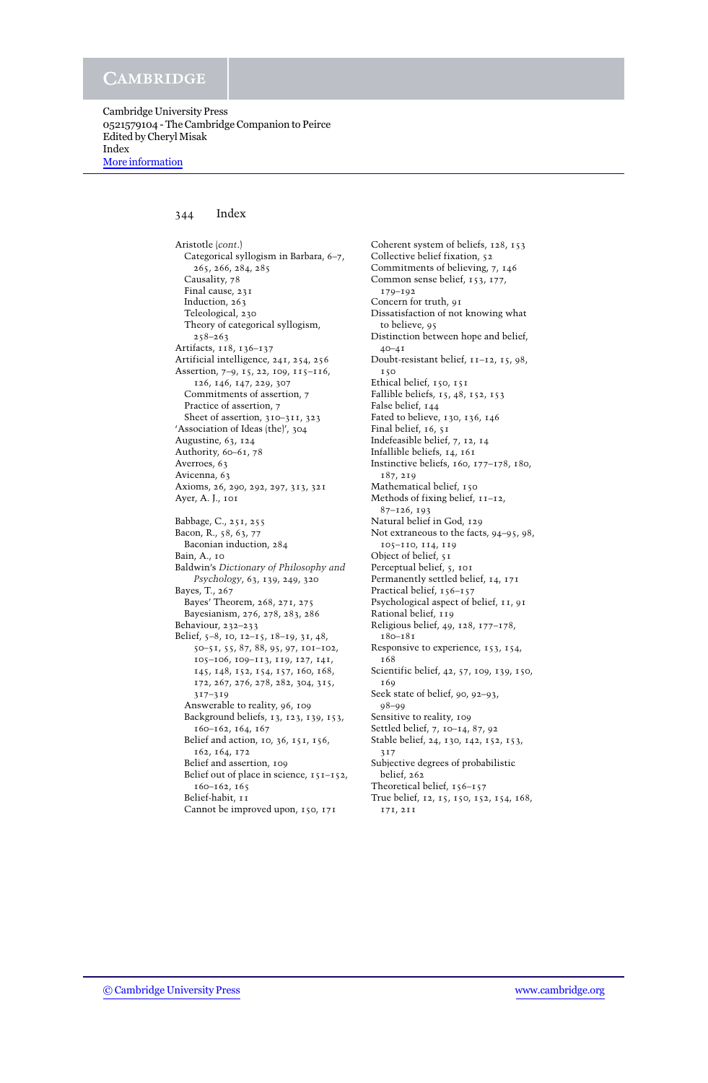Cambridge University Press 0521579104 - The Cambridge Companion to Peirce Edited by Cheryl Misak Index [More information](http://www.cambridge.org/0521579104)

# 344 Index

Aristotle (*cont*.) Categorical syllogism in Barbara, 6–7, 265, 266, 284, 285 Causality, 78 Final cause, 231 Induction, 263 Teleological, 230 Theory of categorical syllogism, 258–263 Artifacts, 118, 136–137 Artificial intelligence, 241, 254, 256 Assertion, 7–9, 15, 22, 109, 115–116, 126, 146, 147, 229, 307 Commitments of assertion, 7 Practice of assertion, 7 Sheet of assertion, 310-311, 323 'Association of Ideas (the)', 304 Augustine, 63, 124 Authority, 60–61, 78 Averroes, 63 Avicenna, 63 Axioms, 26, 290, 292, 297, 313, 321 Ayer, A. J., 101 Babbage, C., 251, 255 Bacon, R., 58, 63, 77 Baconian induction, 284 Bain, A., 10 Baldwin's *Dictionary of Philosophy and Psychology*, 63, 139, 249, 320 Bayes, T., 267 Bayes' Theorem, 268, 271, 275 Bayesianism, 276, 278, 283, 286 Behaviour, 232–233 Belief, 5–8, 10, 12–15, 18–19, 31, 48, 50–51, 55, 87, 88, 95, 97, 101–102, 105–106, 109–113, 119, 127, 141, 145, 148, 152, 154, 157, 160, 168, 172, 267, 276, 278, 282, 304, 315, 317–319 Answerable to reality, 96, 109 Background beliefs, 13, 123, 139, 153, 160–162, 164, 167 Belief and action, 10, 36, 151, 156, 162, 164, 172 Belief and assertion, 109 Belief out of place in science, 151-152, 160–162, 165 Belief-habit, 11 Cannot be improved upon, 150, 171

Coherent system of beliefs, 128, 153 Collective belief fixation, 52 Commitments of believing, 7, 146 Common sense belief, 153, 177, 179–192 Concern for truth, 91 Dissatisfaction of not knowing what to believe, 95 Distinction between hope and belief, 40–41 Doubt-resistant belief, 11–12, 15, 98, 150 Ethical belief, 150, 151 Fallible beliefs, 15, 48, 152, 153 False belief, 144 Fated to believe, 130, 136, 146 Final belief, 16, 51 Indefeasible belief, 7, 12, 14 Infallible beliefs, 14, 161 Instinctive beliefs, 160, 177–178, 180, 187, 219 Mathematical belief, 150 Methods of fixing belief, 11–12, 87–126, 193 Natural belief in God, 129 Not extraneous to the facts, 94–95, 98, 105–110, 114, 119 Object of belief, 51 Perceptual belief, 5, 101 Permanently settled belief, 14, 171 Practical belief, 156-157 Psychological aspect of belief, 11, 91 Rational belief, 119 Religious belief, 49, 128, 177–178, 180–181 Responsive to experience, 153, 154, 168 Scientific belief, 42, 57, 109, 139, 150, 169 Seek state of belief, 90, 92–93, 98–99 Sensitive to reality, 109 Settled belief, 7, 10–14, 87, 92 Stable belief, 24, 130, 142, 152, 153, 317 Subjective degrees of probabilistic belief, 262 Theoretical belief, 156–157 True belief, 12, 15, 150, 152, 154, 168, 171, 211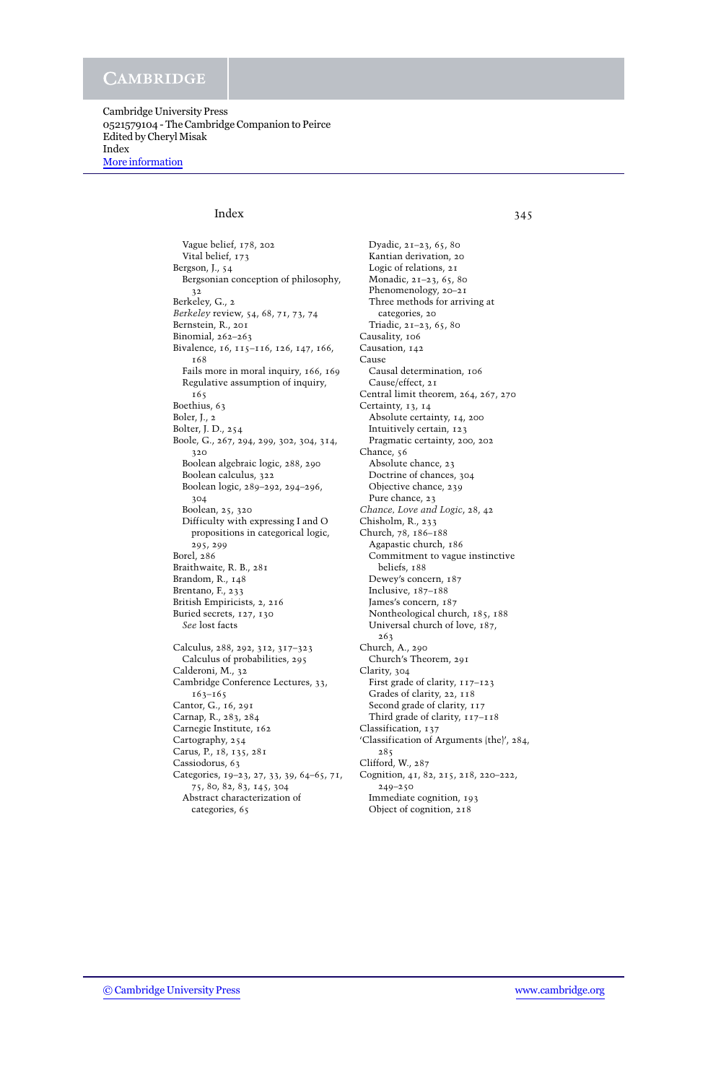Cambridge University Press 0521579104 - The Cambridge Companion to Peirce Edited by Cheryl Misak Index [More information](http://www.cambridge.org/0521579104)

# Index 345

Vague belief, 178, 202 Vital belief, 173 Bergson, J., 54 Bergsonian conception of philosophy, 32 Berkeley, G., 2 *Berkeley* review, 54, 68, 71, 73, 74 Bernstein, R., 201 Binomial, 262–263 Bivalence, 16, 115–116, 126, 147, 166, 168 Fails more in moral inquiry, 166, 169 Regulative assumption of inquiry, 165 Boethius, 63 Boler, J., 2 Bolter, J. D., 254 Boole, G., 267, 294, 299, 302, 304, 314, 320 Boolean algebraic logic, 288, 290 Boolean calculus, 322 Boolean logic, 289–292, 294–296, 304 Boolean, 25, 320 Difficulty with expressing I and O propositions in categorical logic, 295, 299 Borel, 286 Braithwaite, R. B., 281 Brandom, R., 148 Brentano, F., 233 British Empiricists, 2, 216 Buried secrets, 127, 130 *See* lost facts Calculus, 288, 292, 312, 317–323 Calculus of probabilities, 295 Calderoni, M., 32 Cambridge Conference Lectures, 33, 163–165 Cantor, G., 16, 291 Carnap, R., 283, 284 Carnegie Institute, 162 Cartography, 254 Carus, P., 18, 135, 281 Cassiodorus, 63 Categories, 19–23, 27, 33, 39, 64–65, 71, 75, 80, 82, 83, 145, 304 Abstract characterization of categories, 65

Dyadic, 21–23, 65, 80 Kantian derivation, 20 Logic of relations, 21 Monadic, 21–23, 65, 80 Phenomenology, 20–21 Three methods for arriving at categories, 20 Triadic, 21–23, 65, 80 Causality, 106 Causation, 142 **Cause** Causal determination, 106 Cause/effect, 21 Central limit theorem, 264, 267, 270 Certainty, 13, 14 Absolute certainty, 14, 200 Intuitively certain, 123 Pragmatic certainty, 200, 202 Chance, 56 Absolute chance, 23 Doctrine of chances, 304 Objective chance, 239 Pure chance, 23 *Chance, Love and Logic*, 28, 42 Chisholm, R., 233 Church, 78, 186–188 Agapastic church, 186 Commitment to vague instinctive beliefs, 188 Dewey's concern, 187 Inclusive, 187–188 James's concern, 187 Nontheological church, 185, 188 Universal church of love, 187, 263 Church, A., 290 Church's Theorem, 291 Clarity, 304 First grade of clarity, 117–123 Grades of clarity, 22, 118 Second grade of clarity,  $117$ Third grade of clarity, 117–118 Classification, 137 'Classification of Arguments (the)', 284, 285 Clifford, W., 287 Cognition, 41, 82, 215, 218, 220–222, 249–250 Immediate cognition, 193

Object of cognition, 218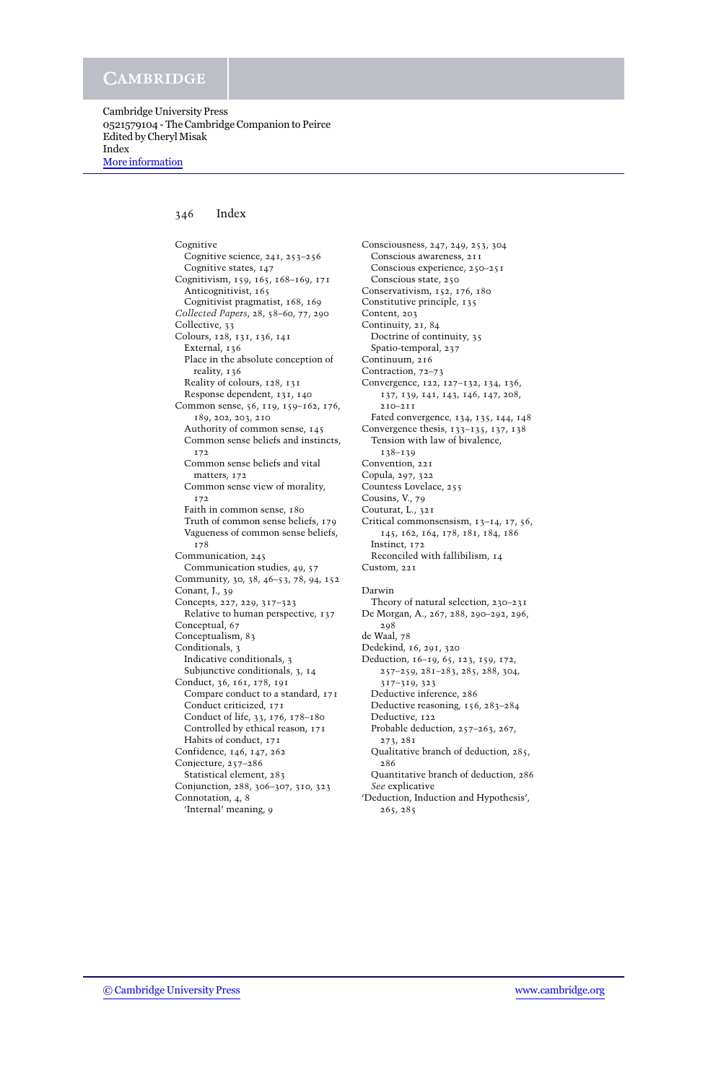## 346 Index

Cognitive Cognitive science, 241, 253–256 Cognitive states, 147 Cognitivism, 159, 165, 168–169, 171 Anticognitivist, 165 Cognitivist pragmatist, 168, 169 *Collected Papers*, 28, 58–60, 77, 290 Collective, 33 Colours, 128, 131, 136, 141 External, 136 Place in the absolute conception of reality, 136 Reality of colours, 128, 131 Response dependent, 131, 140 Common sense, 56, 119, 159–162, 176, 189, 202, 203, 210 Authority of common sense, 145 Common sense beliefs and instincts, 172 Common sense beliefs and vital matters, 172 Common sense view of morality, 172 Faith in common sense, 180 Truth of common sense beliefs, 179 Vagueness of common sense beliefs, 178 Communication, 245 Communication studies, 49, 57 Community, 30, 38, 46–53, 78, 94, 152 Conant, J., 39 Concepts, 227, 229, 317–323 Relative to human perspective, 137 Conceptual, 67 Conceptualism, 83 Conditionals, 3 Indicative conditionals, 3 Subjunctive conditionals, 3, 14 Conduct, 36, 161, 178, 191 Compare conduct to a standard, 171 Conduct criticized, 171 Conduct of life, 33, 176, 178–180 Controlled by ethical reason, 171 Habits of conduct, 171 Confidence, 146, 147, 262 Conjecture, 257–286 Statistical element, 283 Conjunction, 288, 306–307, 310, 323 Connotation, 4, 8 'Internal' meaning, 9

Consciousness, 247, 249, 253, 304 Conscious awareness, 211 Conscious experience, 250–251 Conscious state, 250 Conservativism, 152, 176, 180 Constitutive principle, 135 Content, 203 Continuity, 21, 84 Doctrine of continuity, 35 Spatio-temporal, 237 Continuum, 216 Contraction, 72–73 Convergence, 122, 127–132, 134, 136, 137, 139, 141, 143, 146, 147, 208, 210–211 Fated convergence, 134, 135, 144, 148 Convergence thesis,  $133-135$ ,  $137$ ,  $138$ Tension with law of bivalence, 138–139 Convention, 221 Copula, 297, 322 Countess Lovelace, 255 Cousins, V., 79 Couturat, L., 321 Critical commonsensism, 13–14, 17, 56, 145, 162, 164, 178, 181, 184, 186 Instinct, 172 Reconciled with fallibilism, 14 Custom, 221 Darwin Theory of natural selection, 230–231 De Morgan, A., 267, 288, 290–292, 296, 298 de Waal, 78 Dedekind, 16, 291, 320 Deduction, 16–19, 65, 123, 159, 172, 257–259, 281–283, 285, 288, 304, 317–319, 323 Deductive inference, 286 Deductive reasoning, 156, 283–284 Deductive, 122 Probable deduction, 257–263, 267, 273, 281 Qualitative branch of deduction, 285, 286 Quantitative branch of deduction, 286 *See* explicative

'Deduction, Induction and Hypothesis', 265, 285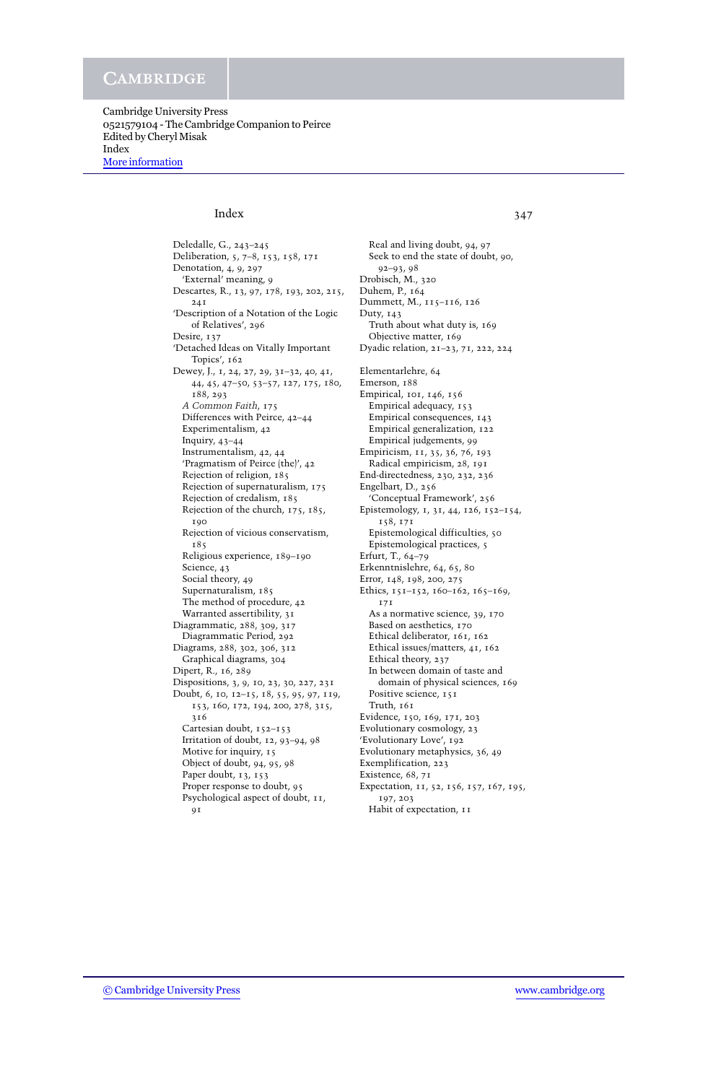Cambridge University Press 0521579104 - The Cambridge Companion to Peirce Edited by Cheryl Misak Index [More information](http://www.cambridge.org/0521579104)

# Index 347

Deledalle, G., 243–245 Deliberation, 5, 7–8, 153, 158, 171 Denotation, 4, 9, 297 'External' meaning, 9 Descartes, R., 13, 97, 178, 193, 202, 215, 241 'Description of a Notation of the Logic of Relatives', 296 Desire, 137 'Detached Ideas on Vitally Important Topics', 162 Dewey, J., 1, 24, 27, 29, 31–32, 40, 41, 44, 45, 47–50, 53–57, 127, 175, 180, 188, 293 *A Common Faith*, 175 Differences with Peirce, 42–44 Experimentalism, 42 Inquiry, 43–44 Instrumentalism, 42, 44 'Pragmatism of Peirce (the)', 42 Rejection of religion, 185 Rejection of supernaturalism, 175 Rejection of credalism, 185 Rejection of the church, 175, 185, 190 Rejection of vicious conservatism, 185 Religious experience, 189–190 Science, 43 Social theory, 49 Supernaturalism, 185 The method of procedure, 42 Warranted assertibility, 31 Diagrammatic, 288, 309, 317 Diagrammatic Period, 292 Diagrams, 288, 302, 306, 312 Graphical diagrams, 304 Dipert, R., 16, 289 Dispositions, 3, 9, 10, 23, 30, 227, 231 Doubt, 6, 10, 12–15, 18, 55, 95, 97, 119, 153, 160, 172, 194, 200, 278, 315, 316 Cartesian doubt, 152–153 Irritation of doubt, 12, 93–94, 98 Motive for inquiry, 15 Object of doubt, 94, 95, 98 Paper doubt, 13, 153 Proper response to doubt, 95 Psychological aspect of doubt, 11,  $9I$ 

Real and living doubt, 94, 97 Seek to end the state of doubt, 90, 92–93, 98 Drobisch, M., 320 Duhem, P., 164 Dummett, M., 115–116, 126 Duty, 143 Truth about what duty is, 169 Objective matter, 169 Dyadic relation, 21–23, 71, 222, 224 Elementarlehre, 64 Emerson, 188 Empirical, 101, 146, 156 Empirical adequacy, 153 Empirical consequences, 143 Empirical generalization, 122 Empirical judgements, 99 Empiricism, 11, 35, 36, 76, 193 Radical empiricism, 28, 191 End-directedness, 230, 232, 236 Engelbart, D., 256 'Conceptual Framework', 256 Epistemology, 1, 31, 44, 126, 152–154, 158, 171 Epistemological difficulties, 50 Epistemological practices, 5 Erfurt, T., 64–79 Erkenntnislehre, 64, 65, 80 Error, 148, 198, 200, 275 Ethics, 151–152, 160–162, 165–169, 171 As a normative science, 39, 170 Based on aesthetics, 170 Ethical deliberator, 161, 162 Ethical issues/matters, 41, 162 Ethical theory, 237 In between domain of taste and domain of physical sciences, 169 Positive science, 151 Truth, 161 Evidence, 150, 169, 171, 203 Evolutionary cosmology, 23 'Evolutionary Love', 192 Evolutionary metaphysics, 36, 49 Exemplification, 223 Existence, 68, 71 Expectation, 11, 52, 156, 157, 167, 195, 197, 203

Habit of expectation, 11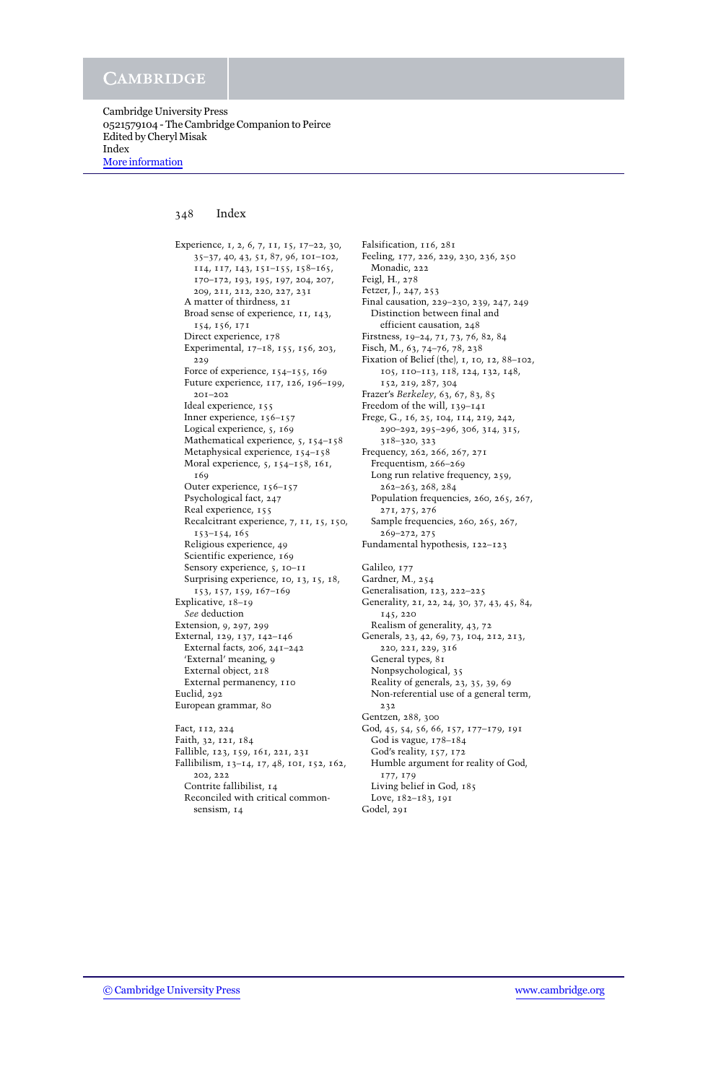## 348 Index

Experience, 1, 2, 6, 7, 11, 15, 17–22, 30, 35–37, 40, 43, 51, 87, 96, 101–102, 114, 117, 143, 151–155, 158–165, 170–172, 193, 195, 197, 204, 207, 209, 211, 212, 220, 227, 231 A matter of thirdness, 21 Broad sense of experience, 11, 143, 154, 156, 171 Direct experience, 178 Experimental, 17–18, 155, 156, 203, 229 Force of experience, 154–155, 169 Future experience, 117, 126, 196–199, 201–202 Ideal experience, 155 Inner experience, 156–157 Logical experience, 5, 169 Mathematical experience, 5, 154–158 Metaphysical experience, 154–158 Moral experience, 5, 154–158, 161, 169 Outer experience, 156–157 Psychological fact, 247 Real experience, 155 Recalcitrant experience, 7, 11, 15, 150, 153–154, 165 Religious experience, 49 Scientific experience, 169 Sensory experience, 5, 10–11 Surprising experience, 10, 13, 15, 18, 153, 157, 159, 167–169 Explicative, 18–19 *See* deduction Extension, 9, 297, 299 External, 129, 137, 142–146 External facts, 206, 241–242 'External' meaning, 9 External object, 218 External permanency, 110 Euclid, 292 European grammar, 80 Fact, 112, 224 Faith, 32, 121, 184 Fallible, 123, 159, 161, 221, 231

Fallibilism, 13–14, 17, 48, 101, 152, 162, 202, 222 Contrite fallibilist, 14 Reconciled with critical commonsensism, 14

Falsification, 116, 281 Feeling, 177, 226, 229, 230, 236, 250 Monadic, 222 Feigl, H., 278 Fetzer, J., 247, 253 Final causation, 229–230, 239, 247, 249 Distinction between final and efficient causation, 248 Firstness, 19–24, 71, 73, 76, 82, 84 Fisch, M., 63, 74–76, 78, 238 Fixation of Belief (the), 1, 10, 12, 88–102, 105, 110–113, 118, 124, 132, 148, 152, 219, 287, 304 Frazer's *Berkeley*, 63, 67, 83, 85 Freedom of the will, 139–141 Frege, G., 16, 25, 104, 114, 219, 242, 290–292, 295–296, 306, 314, 315, 318–320, 323 Frequency, 262, 266, 267, 271 Frequentism, 266–269 Long run relative frequency, 259, 262–263, 268, 284 Population frequencies, 260, 265, 267, 271, 275, 276 Sample frequencies, 260, 265, 267, 269–272, 275 Fundamental hypothesis, 122–123 Galileo, 177 Gardner, M., 254 Generalisation, 123, 222–225 Generality, 21, 22, 24, 30, 37, 43, 45, 84, 145, 220 Realism of generality, 43, 72 Generals, 23, 42, 69, 73, 104, 212, 213, 220, 221, 229, 316 General types, 81 Nonpsychological, 35 Reality of generals, 23, 35, 39, 69 Non-referential use of a general term, 232 Gentzen, 288, 300 God, 45, 54, 56, 66, 157, 177–179, 191 God is vague, 178–184 God's reality, 157, 172 Humble argument for reality of God, 177, 179 Living belief in God, 185 Love, 182–183, 191 Godel, 291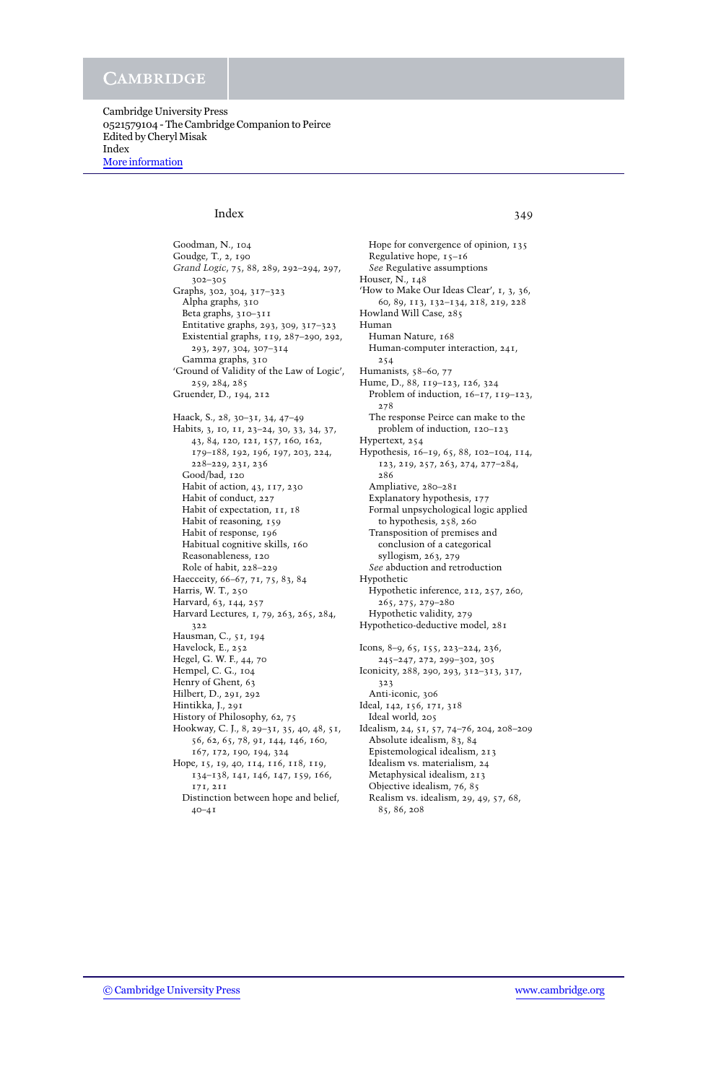Cambridge University Press 0521579104 - The Cambridge Companion to Peirce Edited by Cheryl Misak Index [More information](http://www.cambridge.org/0521579104)

# Index 349

Goodman, N., 104 Goudge, T., 2, 190 *Grand Logic*, 75, 88, 289, 292–294, 297, 302–305 Graphs, 302, 304, 317–323 Alpha graphs, 310 Beta graphs, 310–311 Entitative graphs, 293, 309, 317–323 Existential graphs, 119, 287–290, 292, 293, 297, 304, 307–314 Gamma graphs, 310 'Ground of Validity of the Law of Logic', 259, 284, 285 Gruender, D., 194, 212 Haack, S., 28, 30–31, 34, 47–49 Habits, 3, 10, 11, 23–24, 30, 33, 34, 37, 43, 84, 120, 121, 157, 160, 162, 179–188, 192, 196, 197, 203, 224, 228–229, 231, 236 Good/bad, 120 Habit of action, 43, 117, 230 Habit of conduct, 227 Habit of expectation, 11, 18 Habit of reasoning, 159 Habit of response, 196 Habitual cognitive skills, 160 Reasonableness, 120 Role of habit, 228–229 Haecceity, 66–67, 71, 75, 83, 84 Harris, W. T., 250 Harvard, 63, 144, 257 Harvard Lectures, 1, 79, 263, 265, 284, 322 Hausman, C., 51, 194 Havelock, E., 252 Hegel, G. W. F., 44, 70 Hempel, C. G., 104 Henry of Ghent, 63 Hilbert, D., 291, 292 Hintikka, J., 291 History of Philosophy, 62, 75 Hookway, C. J., 8, 29–31, 35, 40, 48, 51, 56, 62, 65, 78, 91, 144, 146, 160, 167, 172, 190, 194, 324 Hope, 15, 19, 40, 114, 116, 118, 119, 134–138, 141, 146, 147, 159, 166, 171, 211

Distinction between hope and belief, 40–41

Hope for convergence of opinion, 135 Regulative hope, 15–16 *See* Regulative assumptions Houser, N., 148 'How to Make Our Ideas Clear', 1, 3, 36, 60, 89, 113, 132–134, 218, 219, 228 Howland Will Case, 285 Human Human Nature, 168 Human-computer interaction, 241, 254 Humanists, 58–60, 77 Hume, D., 88, 119–123, 126, 324 Problem of induction,  $16-17$ ,  $119-123$ , 278 The response Peirce can make to the problem of induction, 120–123 Hypertext, 254 Hypothesis, 16–19, 65, 88, 102–104, 114, 123, 219, 257, 263, 274, 277–284, 286 Ampliative, 280–281 Explanatory hypothesis, 177 Formal unpsychological logic applied to hypothesis, 258, 260 Transposition of premises and conclusion of a categorical syllogism, 263, 279 *See* abduction and retroduction Hypothetic Hypothetic inference, 212, 257, 260, 265, 275, 279–280 Hypothetic validity, 279 Hypothetico-deductive model, 281 Icons, 8–9, 65, 155, 223–224, 236, 245–247, 272, 299–302, 305 Iconicity, 288, 290, 293, 312–313, 317, 323 Anti-iconic, 306 Ideal, 142, 156, 171, 318 Ideal world, 205 Idealism, 24, 51, 57, 74–76, 204, 208–209 Absolute idealism, 83, 84 Epistemological idealism, 213 Idealism vs. materialism, 24 Metaphysical idealism, 213 Objective idealism, 76, 85 Realism vs. idealism, 29, 49, 57, 68,

85, 86, 208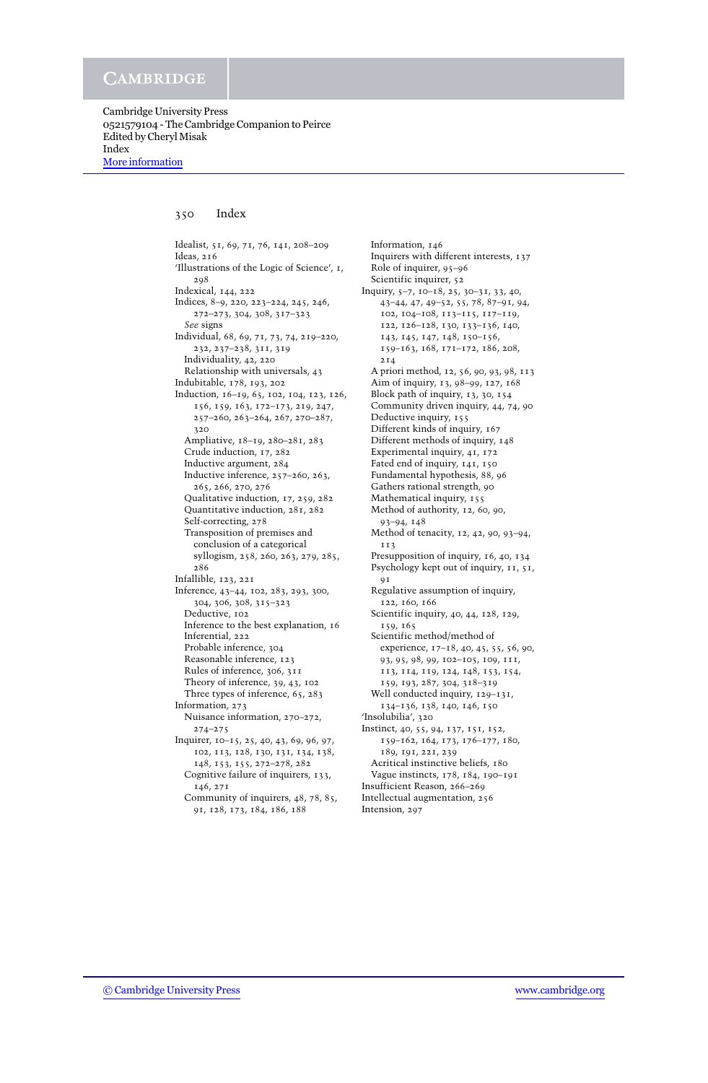## 350 Index

Idealist, 51, 69, 71, 76, 141, 208–209 Ideas, 216 'Illustrations of the Logic of Science', 1, 298 Indexical, 144, 222 Indices, 8–9, 220, 223–224, 245, 246, 272–273, 304, 308, 317–323 *See* signs Individual, 68, 69, 71, 73, 74, 219–220, 232, 237–238, 311, 319 Individuality, 42, 220 Relationship with universals, 43 Indubitable, 178, 193, 202 Induction, 16–19, 65, 102, 104, 123, 126, 156, 159, 163, 172–173, 219, 247, 257–260, 263–264, 267, 270–287, 320 Ampliative, 18–19, 280–281, 283 Crude induction, 17, 282 Inductive argument, 284 Inductive inference, 257–260, 263, 265, 266, 270, 276 Qualitative induction, 17, 259, 282 Quantitative induction, 281, 282 Self-correcting, 278 Transposition of premises and conclusion of a categorical syllogism, 258, 260, 263, 279, 285, 286 Infallible, 123, 221 Inference, 43–44, 102, 283, 293, 300, 304, 306, 308, 315–323 Deductive, 102 Inference to the best explanation, 16 Inferential, 222 Probable inference, 304 Reasonable inference, 123 Rules of inference, 306, 311 Theory of inference, 39, 43, 102 Three types of inference, 65, 283 Information, 273 Nuisance information, 270–272, 274–275 Inquirer, 10–15, 25, 40, 43, 69, 96, 97, 102, 113, 128, 130, 131, 134, 138, 148, 153, 155, 272–278, 282 Cognitive failure of inquirers, 133, 146, 271

Community of inquirers, 48, 78, 85, 91, 128, 173, 184, 186, 188

Information, 146 Inquirers with different interests, 137 Role of inquirer, 95–96 Scientific inquirer, 52 Inquiry, 5–7, 10–18, 25, 30–31, 33, 40, 43–44, 47, 49–52, 55, 78, 87–91, 94, 102, 104–108, 113–115, 117–119, 122, 126–128, 130, 133–136, 140, 143, 145, 147, 148, 150–156, 159–163, 168, 171–172, 186, 208, 214 A priori method, 12, 56, 90, 93, 98, 113 Aim of inquiry, 13, 98–99, 127, 168 Block path of inquiry, 13, 30, 154 Community driven inquiry, 44, 74, 90 Deductive inquiry, 155 Different kinds of inquiry, 167 Different methods of inquiry, 148 Experimental inquiry, 41, 172 Fated end of inquiry, 141, 150 Fundamental hypothesis, 88, 96 Gathers rational strength, 90 Mathematical inquiry, 155 Method of authority, 12, 60, 90, 93–94, 148 Method of tenacity, 12, 42, 90, 93–94, 113 Presupposition of inquiry, 16, 40, 134 Psychology kept out of inquiry, 11, 51,  $QI$ Regulative assumption of inquiry, 122, 160, 166 Scientific inquiry, 40, 44, 128, 129, 159, 165 Scientific method/method of experience, 17–18, 40, 45, 55, 56, 90, 93, 95, 98, 99, 102–105, 109, 111, 113, 114, 119, 124, 148, 153, 154, 159, 193, 287, 304, 318–319 Well conducted inquiry,  $129-131$ , 134–136, 138, 140, 146, 150 'Insolubilia', 320 Instinct, 40, 55, 94, 137, 151, 152, 159–162, 164, 173, 176–177, 180, 189, 191, 221, 239 Acritical instinctive beliefs, 180 Vague instincts, 178, 184, 190–191 Insufficient Reason, 266–269 Intellectual augmentation, 256 Intension, 297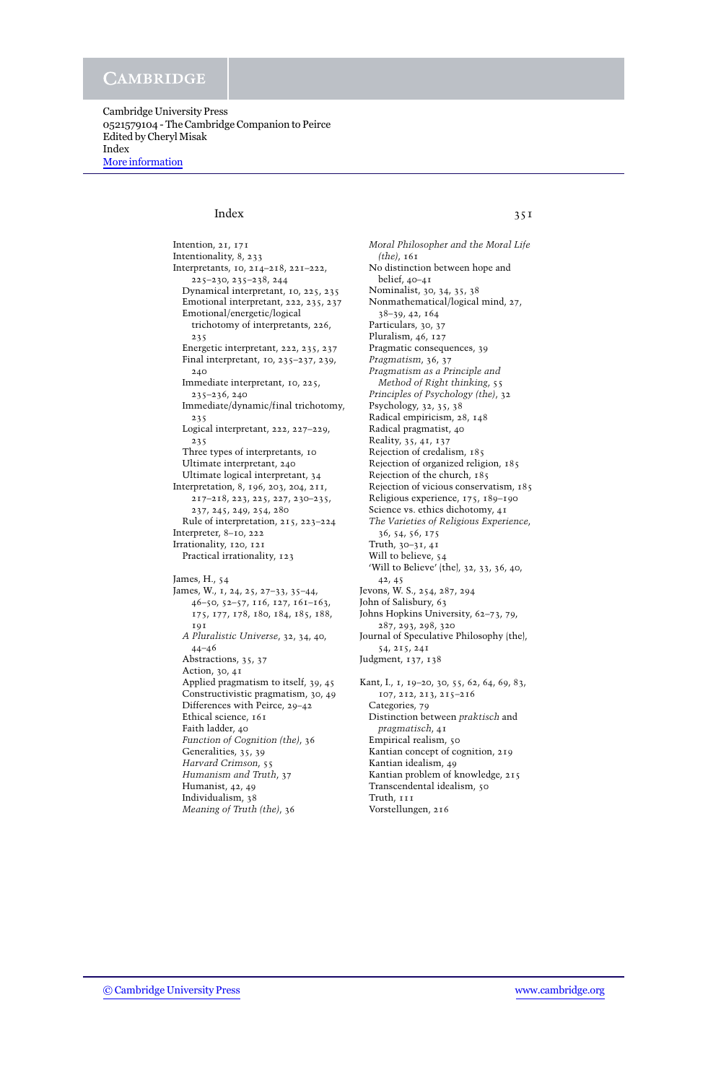Cambridge University Press 0521579104 - The Cambridge Companion to Peirce Edited by Cheryl Misak Index [More information](http://www.cambridge.org/0521579104)

# Index 351

Intention, 21, 171 Intentionality, 8, 233 Interpretants, 10, 214–218, 221–222, 225–230, 235–238, 244 Dynamical interpretant, 10, 225, 235 Emotional interpretant, 222, 235, 237 Emotional/energetic/logical trichotomy of interpretants, 226, 235 Energetic interpretant, 222, 235, 237 Final interpretant, 10, 235–237, 239, 240 Immediate interpretant, 10, 225, 235–236, 240 Immediate/dynamic/final trichotomy, 235 Logical interpretant, 222, 227–229, 235 Three types of interpretants, 10 Ultimate interpretant, 240 Ultimate logical interpretant, 34 Interpretation, 8, 196, 203, 204, 211, 217–218, 223, 225, 227, 230–235, 237, 245, 249, 254, 280 Rule of interpretation, 215, 223–224 Interpreter, 8–10, 222 Irrationality, 120, 121 Practical irrationality, 123 James, H., 54 James, W., 1, 24, 25, 27–33, 35–44, 46–50, 52–57, 116, 127, 161–163, 175, 177, 178, 180, 184, 185, 188, 191 *A Pluralistic Universe*, 32, 34, 40, 44–46 Abstractions, 35, 37 Action, 30, 41 Applied pragmatism to itself, 39, 45 Constructivistic pragmatism, 30, 49 Differences with Peirce, 29–42 Ethical science, 161 Faith ladder, 40 *Function of Cognition (the)*, 36 Generalities, 35, 39 *Harvard Crimson*, 55 *Humanism and Truth*, 37 Humanist, 42, 49 Individualism, 38 *Meaning of Truth (the)*, 36

*Moral Philosopher and the Moral Life (the)*, 161 No distinction between hope and belief, 40–41 Nominalist, 30, 34, 35, 38 Nonmathematical/logical mind, 27, 38–39, 42, 164 Particulars, 30, 37 Pluralism, 46, 127 Pragmatic consequences, 39 *Pragmatism*, 36, 37 *Pragmatism as a Principle and Method of Right thinking*, 55 *Principles of Psychology (the)*, 32 Psychology, 32, 35, 38 Radical empiricism, 28, 148 Radical pragmatist, 40 Reality, 35, 41, 137 Rejection of credalism, 185 Rejection of organized religion, 185 Rejection of the church, 185 Rejection of vicious conservatism, 185 Religious experience, 175, 189–190 Science vs. ethics dichotomy, 41 *The Varieties of Religious Experience*, 36, 54, 56, 175 Truth, 30–31, 41 Will to believe, 54 'Will to Believe' (the), 32, 33, 36, 40, 42, 45 Jevons, W. S., 254, 287, 294 John of Salisbury, 63 Johns Hopkins University, 62–73, 79, 287, 293, 298, 320 Journal of Speculative Philosophy (the), 54, 215, 241 Judgment, 137, 138 Kant, I., 1, 19–20, 30, 55, 62, 64, 69, 83, 107, 212, 213, 215–216 Categories, 79 Distinction between *praktisch* and *pragmatisch*, 41 Empirical realism, 50 Kantian concept of cognition, 219 Kantian idealism, 49 Kantian problem of knowledge, 215 Transcendental idealism, 50

Truth, 111 Vorstellungen, 216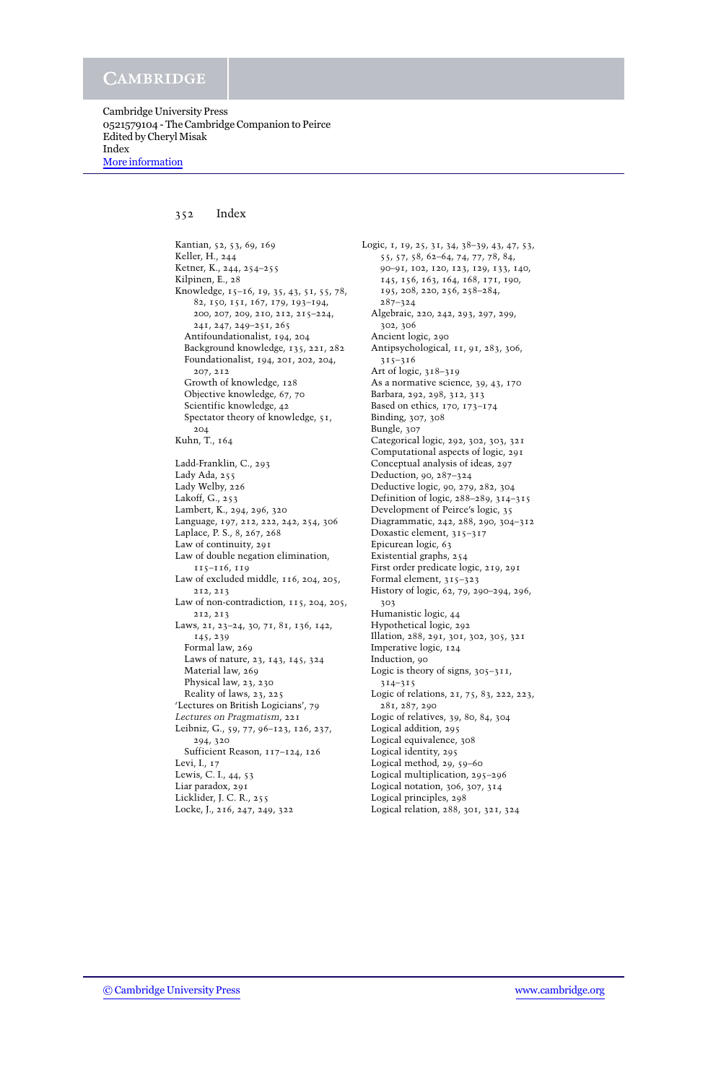Cambridge University Press 0521579104 - The Cambridge Companion to Peirce Edited by Cheryl Misak Index [More information](http://www.cambridge.org/0521579104)

## 352 Index

Kantian, 52, 53, 69, 169 Keller, H., 244 Ketner, K., 244, 254–255 Kilpinen, E., 28 Knowledge, 15–16, 19, 35, 43, 51, 55, 78, 82, 150, 151, 167, 179, 193–194, 200, 207, 209, 210, 212, 215–224, 241, 247, 249–251, 265 Antifoundationalist, 194, 204 Background knowledge, 135, 221, 282 Foundationalist, 194, 201, 202, 204, 207, 212 Growth of knowledge, 128 Objective knowledge, 67, 70 Scientific knowledge, 42 Spectator theory of knowledge, 51, 204 Kuhn, T., 164 Ladd-Franklin, C., 293 Lady Ada, 255 Lady Welby, 226 Lakoff, G., 253 Lambert, K., 294, 296, 320 Language, 197, 212, 222, 242, 254, 306 Laplace, P. S., 8, 267, 268 Law of continuity, 291 Law of double negation elimination, 115–116, 119 Law of excluded middle, 116, 204, 205, 212, 213 Law of non-contradiction, 115, 204, 205, 212, 213 Laws, 21, 23–24, 30, 71, 81, 136, 142, 145, 239 Formal law, 269 Laws of nature, 23, 143, 145, 324 Material law, 269 Physical law, 23, 230 Reality of laws, 23, 225 'Lectures on British Logicians', 79 *Lectures on Pragmatism*, 221 Leibniz, G., 59, 77, 96–123, 126, 237, 294, 320 Sufficient Reason, 117–124, 126 Levi, I., 17 Lewis, C. I., 44, 53 Liar paradox, 291 Licklider, J. C. R., 255 Locke, J., 216, 247, 249, 322

Logic, 1, 19, 25, 31, 34, 38–39, 43, 47, 53, 55, 57, 58, 62–64, 74, 77, 78, 84, 90–91, 102, 120, 123, 129, 133, 140, 145, 156, 163, 164, 168, 171, 190, 195, 208, 220, 256, 258–284, 287–324 Algebraic, 220, 242, 293, 297, 299, 302, 306 Ancient logic, 290 Antipsychological, 11, 91, 283, 306, 315–316 Art of logic, 318–319 As a normative science, 39, 43, 170 Barbara, 292, 298, 312, 313 Based on ethics, 170, 173–174 Binding, 307, 308 Bungle, 307 Categorical logic, 292, 302, 303, 321 Computational aspects of logic, 291 Conceptual analysis of ideas, 297 Deduction, 90, 287–324 Deductive logic, 90, 279, 282, 304 Definition of logic, 288–289, 314–315 Development of Peirce's logic, 35 Diagrammatic, 242, 288, 290, 304–312 Doxastic element, 315–317 Epicurean logic, 63 Existential graphs, 254 First order predicate logic, 219, 291 Formal element, 315–323 History of logic, 62, 79, 290–294, 296, 303 Humanistic logic, 44 Hypothetical logic, 292 Illation, 288, 291, 301, 302, 305, 321 Imperative logic, 124 Induction, 90 Logic is theory of signs, 305-311, 314–315 Logic of relations, 21, 75, 83, 222, 223, 281, 287, 290 Logic of relatives, 39, 80, 84, 304 Logical addition, 295 Logical equivalence, 308 Logical identity, 295 Logical method, 29, 59–60 Logical multiplication, 295–296 Logical notation, 306, 307, 314 Logical principles, 298

Logical relation, 288, 301, 321, 324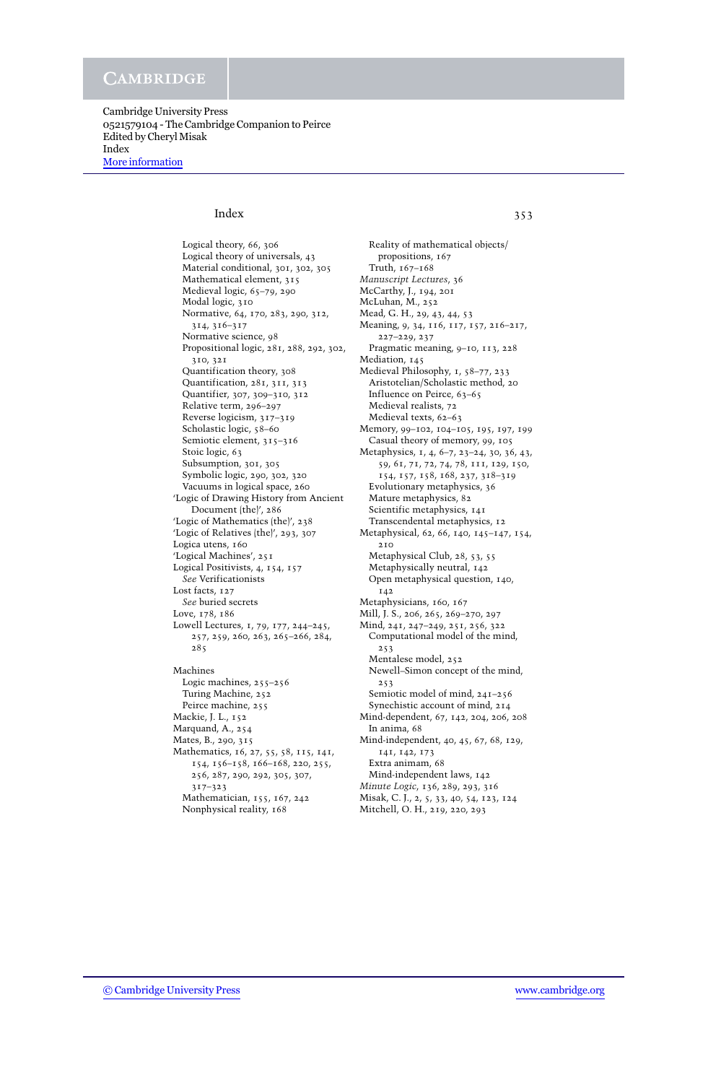Cambridge University Press 0521579104 - The Cambridge Companion to Peirce Edited by Cheryl Misak Index [More information](http://www.cambridge.org/0521579104)

# Index 353

Logical theory, 66, 306 Logical theory of universals, 43 Material conditional, 301, 302, 305 Mathematical element, 315 Medieval logic, 65–79, 290 Modal logic, 310 Normative, 64, 170, 283, 290, 312, 314, 316–317 Normative science, 98 Propositional logic, 281, 288, 292, 302, 310, 321 Quantification theory, 308 Quantification, 281, 311, 313 Quantifier, 307, 309–310, 312 Relative term, 296–297 Reverse logicism, 317–319 Scholastic logic, 58–60 Semiotic element, 315-316 Stoic logic, 63 Subsumption, 301, 305 Symbolic logic, 290, 302, 320 Vacuums in logical space, 260 'Logic of Drawing History from Ancient Document (the)', 286 'Logic of Mathematics (the)', 238 'Logic of Relatives (the)', 293, 307 Logica utens, 160 'Logical Machines', 251 Logical Positivists, 4, 154, 157 *See* Verificationists Lost facts, 127 *See* buried secrets Love, 178, 186 Lowell Lectures, 1, 79, 177, 244–245, 257, 259, 260, 263, 265–266, 284, 285 Machines Logic machines, 255–256 Turing Machine, 252 Peirce machine, 255 Mackie, J. L., 152 Marquand, A., 254 Mates, B., 290, 315 Mathematics, 16, 27, 55, 58, 115, 141, 154, 156–158, 166–168, 220, 255, 256, 287, 290, 292, 305, 307, 317–323 Mathematician, 155, 167, 242 Nonphysical reality, 168

Reality of mathematical objects/ propositions, 167 Truth, 167–168 *Manuscript Lectures*, 36 McCarthy, J., 194, 201 McLuhan, M., 252 Mead, G. H., 29, 43, 44, 53 Meaning, 9, 34, 116, 117, 157, 216–217, 227–229, 237 Pragmatic meaning, 9–10, 113, 228 Mediation, 145 Medieval Philosophy, 1, 58–77, 233 Aristotelian/Scholastic method, 20 Influence on Peirce, 63–65 Medieval realists, 72 Medieval texts, 62–63 Memory, 99–102, 104–105, 195, 197, 199 Casual theory of memory, 99, 105 Metaphysics, 1, 4, 6–7, 23–24, 30, 36, 43, 59, 61, 71, 72, 74, 78, 111, 129, 150, 154, 157, 158, 168, 237, 318–319 Evolutionary metaphysics, 36 Mature metaphysics, 82 Scientific metaphysics, 141 Transcendental metaphysics, 12 Metaphysical, 62, 66, 140, 145–147, 154, 210 Metaphysical Club, 28, 53, 55 Metaphysically neutral, 142 Open metaphysical question, 140, 142 Metaphysicians, 160, 167 Mill, J. S., 206, 265, 269–270, 297 Mind, 241, 247–249, 251, 256, 322 Computational model of the mind, 253 Mentalese model, 252 Newell–Simon concept of the mind, 253 Semiotic model of mind, 241–256 Synechistic account of mind, 214 Mind-dependent, 67, 142, 204, 206, 208 In anima, 68 Mind-independent, 40, 45, 67, 68, 129, 141, 142, 173 Extra animam, 68 Mind-independent laws, 142 *Minute Logic*, 136, 289, 293, 316 Misak, C. J., 2, 5, 33, 40, 54, 123, 124 Mitchell, O. H., 219, 220, 293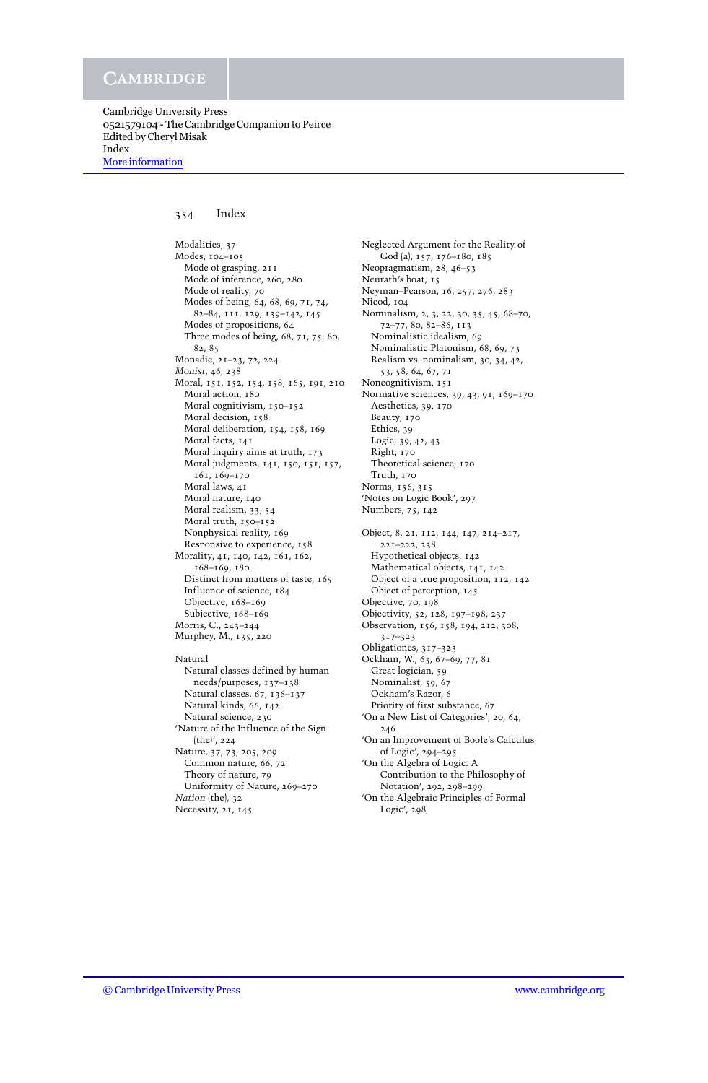Cambridge University Press 0521579104 - The Cambridge Companion to Peirce Edited by Cheryl Misak Index [More information](http://www.cambridge.org/0521579104)

## 354 Index

Modalities, 37 Modes, 104–105 Mode of grasping, 211 Mode of inference, 260, 280 Mode of reality, 70 Modes of being, 64, 68, 69, 71, 74, 82–84, 111, 129, 139–142, 145 Modes of propositions, 64 Three modes of being, 68, 71, 75, 80, 82, 85 Monadic, 21–23, 72, 224 *Monist*, 46, 238 Moral, 151, 152, 154, 158, 165, 191, 210 Moral action, 180 Moral cognitivism, 150–152 Moral decision, 158 Moral deliberation, 154, 158, 169 Moral facts, 141 Moral inquiry aims at truth, 173 Moral judgments, 141, 150, 151, 157, 161, 169–170 Moral laws, 41 Moral nature, 140 Moral realism, 33, 54 Moral truth, 150–152 Nonphysical reality, 169 Responsive to experience, 158 Morality, 41, 140, 142, 161, 162, 168–169, 180 Distinct from matters of taste, 165 Influence of science, 184 Objective, 168–169 Subjective, 168-169 Morris, C., 243–244 Murphey, M., 135, 220 Natural Natural classes defined by human needs/purposes, 137–138 Natural classes, 67, 136–137 Natural kinds, 66, 142 Natural science, 230 'Nature of the Influence of the Sign (the)', 224 Nature, 37, 73, 205, 209

Common nature, 66, 72 Theory of nature, 79 Uniformity of Nature, 269–270 *Nation* (the), 32

Necessity, 21, 145

Neglected Argument for the Reality of God (a), 157, 176–180, 185 Neopragmatism, 28, 46–53 Neurath's boat, 15 Neyman–Pearson, 16, 257, 276, 283 Nicod, 104 Nominalism, 2, 3, 22, 30, 35, 45, 68–70, 72–77, 80, 82–86, 113 Nominalistic idealism, 69 Nominalistic Platonism, 68, 69, 73 Realism vs. nominalism, 30, 34, 42, 53, 58, 64, 67, 71 Noncognitivism, 151 Normative sciences, 39, 43, 91, 169–170 Aesthetics, 39, 170 Beauty, 170 Ethics, 39 Logic, 39, 42, 43 Right, 170 Theoretical science, 170 Truth, 170 Norms, 156, 315 'Notes on Logic Book', 297 Numbers, 75, 142 Object, 8, 21, 112, 144, 147, 214–217, 221–222, 238 Hypothetical objects, 142 Mathematical objects, 141, 142 Object of a true proposition, 112, 142 Object of perception, 145 Objective, 70, 198 Objectivity, 52, 128, 197–198, 237 Observation, 156, 158, 194, 212, 308, 317–323 Obligationes, 317–323 Ockham, W., 63, 67–69, 77, 81 Great logician, 59 Nominalist, 59, 67 Ockham's Razor, 6 Priority of first substance, 67 'On a New List of Categories', 20, 64, 246 'On an Improvement of Boole's Calculus of Logic', 294–295 'On the Algebra of Logic: A Contribution to the Philosophy of Notation', 292, 298–299 'On the Algebraic Principles of Formal

Logic', 298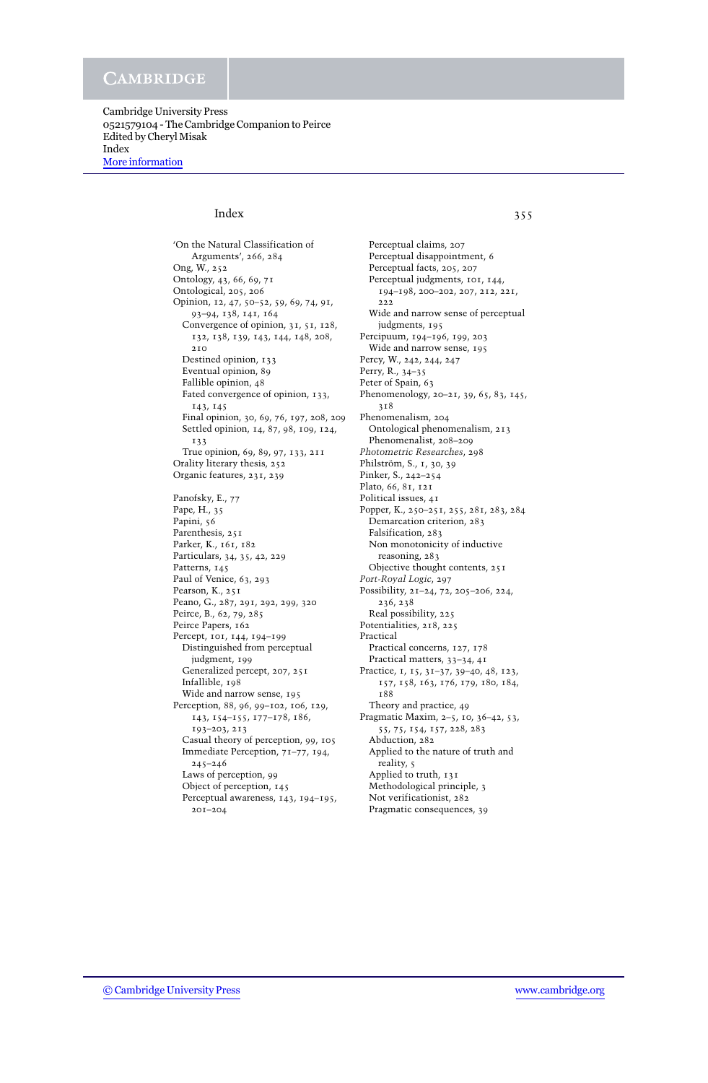Cambridge University Press 0521579104 - The Cambridge Companion to Peirce Edited by Cheryl Misak Index [More information](http://www.cambridge.org/0521579104)

# Index 355

'On the Natural Classification of Arguments', 266, 284 Ong, W., 252 Ontology, 43, 66, 69, 71 Ontological, 205, 206 Opinion, 12, 47, 50–52, 59, 69, 74, 91, 93–94, 138, 141, 164 Convergence of opinion, 31, 51, 128, 132, 138, 139, 143, 144, 148, 208,  $2.10$ Destined opinion, 133 Eventual opinion, 89 Fallible opinion, 48 Fated convergence of opinion, 133, 143, 145 Final opinion, 30, 69, 76, 197, 208, 209 Settled opinion, 14, 87, 98, 109, 124, 133 True opinion, 69, 89, 97, 133, 211 Orality literary thesis, 252 Organic features, 231, 239 Panofsky, E., 77 Pape, H., 35 Papini, 56 Parenthesis, 251 Parker, K., 161, 182 Particulars, 34, 35, 42, 229 Patterns, 145 Paul of Venice, 63, 293 Pearson, K., 251 Peano, G., 287, 291, 292, 299, 320 Peirce, B., 62, 79, 285 Peirce Papers, 162 Percept, 101, 144, 194–199 Distinguished from perceptual judgment, 199 Generalized percept, 207, 251 Infallible, 198 Wide and narrow sense, 195 Perception, 88, 96, 99–102, 106, 129, 143, 154–155, 177–178, 186, 193–203, 213 Casual theory of perception, 99, 105 Immediate Perception, 71–77, 194, 245–246 Laws of perception, 99 Object of perception, 145 Perceptual awareness, 143, 194–195, 201–204

Perceptual claims, 207 Perceptual disappointment, 6 Perceptual facts, 205, 207 Perceptual judgments, 101, 144, 194–198, 200–202, 207, 212, 221, 222 Wide and narrow sense of perceptual judgments, 195 Percipuum, 194–196, 199, 203 Wide and narrow sense, 195 Percy, W., 242, 244, 247 Perry, R., 34–35 Peter of Spain, 63 Phenomenology, 20–21, 39, 65, 83, 145, 318 Phenomenalism, 204 Ontological phenomenalism, 213 Phenomenalist, 208–209 *Photometric Researches*, 298 Philström, S., 1, 30, 39 Pinker, S., 242–254 Plato, 66, 81, 121 Political issues, 41 Popper, K., 250–251, 255, 281, 283, 284 Demarcation criterion, 283 Falsification, 283 Non monotonicity of inductive reasoning, 283 Objective thought contents, 251 *Port-Royal Logic*, 297 Possibility, 21–24, 72, 205–206, 224, 236, 238 Real possibility, 225 Potentialities, 218, 225 Practical Practical concerns, 127, 178 Practical matters, 33–34, 41 Practice, 1, 15, 31–37, 39–40, 48, 123, 157, 158, 163, 176, 179, 180, 184, 188 Theory and practice, 49 Pragmatic Maxim, 2–5, 10, 36–42, 53, 55, 75, 154, 157, 228, 283 Abduction, 282 Applied to the nature of truth and reality, 5 Applied to truth, 131 Methodological principle, 3 Not verificationist, 282 Pragmatic consequences, 39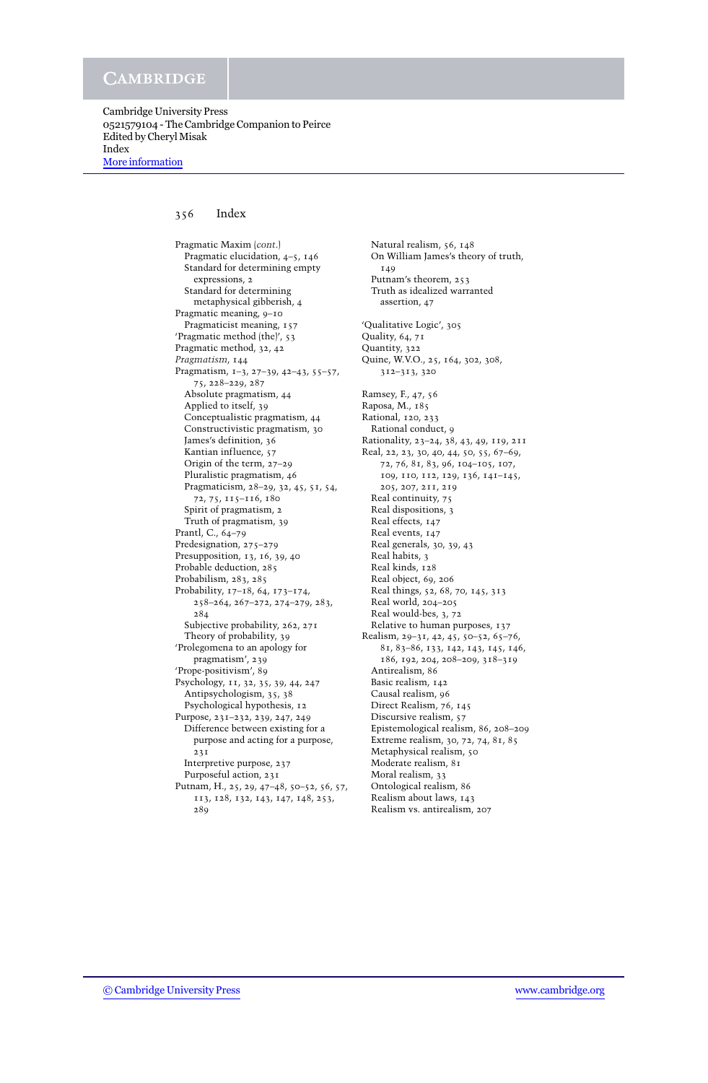## 356 Index

Pragmatic Maxim (*cont*.) Pragmatic elucidation, 4–5, 146 Standard for determining empty expressions, 2 Standard for determining metaphysical gibberish, 4 Pragmatic meaning, 9–10 Pragmaticist meaning, 157 'Pragmatic method (the)', 53 Pragmatic method, 32, 42 *Pragmatism*, 144 Pragmatism, 1–3, 27–39, 42–43, 55–57, 75, 228–229, 287 Absolute pragmatism, 44 Applied to itself, 39 Conceptualistic pragmatism, 44 Constructivistic pragmatism, 30 James's definition, 36 Kantian influence, 57 Origin of the term, 27–29 Pluralistic pragmatism, 46 Pragmaticism, 28–29, 32, 45, 51, 54, 72, 75, 115–116, 180 Spirit of pragmatism, 2 Truth of pragmatism, 39 Prantl, C., 64–79 Predesignation, 275–279 Presupposition, 13, 16, 39, 40 Probable deduction, 285 Probabilism, 283, 285 Probability, 17–18, 64, 173–174, 258–264, 267–272, 274–279, 283, 284 Subjective probability, 262, 271 Theory of probability, 39 'Prolegomena to an apology for pragmatism', 239 'Prope-positivism', 89 Psychology, 11, 32, 35, 39, 44, 247 Antipsychologism, 35, 38 Psychological hypothesis, 12 Purpose, 231–232, 239, 247, 249 Difference between existing for a purpose and acting for a purpose, 231 Interpretive purpose, 237 Purposeful action, 231 Putnam, H., 25, 29, 47–48, 50–52, 56, 57, 113, 128, 132, 143, 147, 148, 253, 289

Natural realism, 56, 148 On William James's theory of truth, 140 Putnam's theorem, 253 Truth as idealized warranted assertion, 47 'Qualitative Logic', 305 Quality, 64, 71 Quantity, 322 Quine, W.V.O., 25, 164, 302, 308, 312–313, 320 Ramsey, F., 47, 56 Raposa, M., 185 Rational, 120, 233 Rational conduct, 9 Rationality, 23–24, 38, 43, 49, 119, 211 Real, 22, 23, 30, 40, 44, 50, 55, 67–69, 72, 76, 81, 83, 96, 104–105, 107, 109, 110, 112, 129, 136, 141–145, 205, 207, 211, 219 Real continuity, 75 Real dispositions, 3 Real effects, 147 Real events, 147 Real generals, 30, 39, 43 Real habits, 3 Real kinds, 128 Real object, 69, 206 Real things, 52, 68, 70, 145, 313 Real world, 204–205 Real would-bes, 3, 72 Relative to human purposes, 137 Realism, 29–31, 42, 45, 50–52, 65–76, 81, 83–86, 133, 142, 143, 145, 146, 186, 192, 204, 208–209, 318–319 Antirealism, 86 Basic realism, 142 Causal realism, 96 Direct Realism, 76, 145 Discursive realism, 57 Epistemological realism, 86, 208–209 Extreme realism, 30, 72, 74, 81, 85 Metaphysical realism, 50 Moderate realism, 81 Moral realism, 33 Ontological realism, 86 Realism about laws, 143 Realism vs. antirealism, 207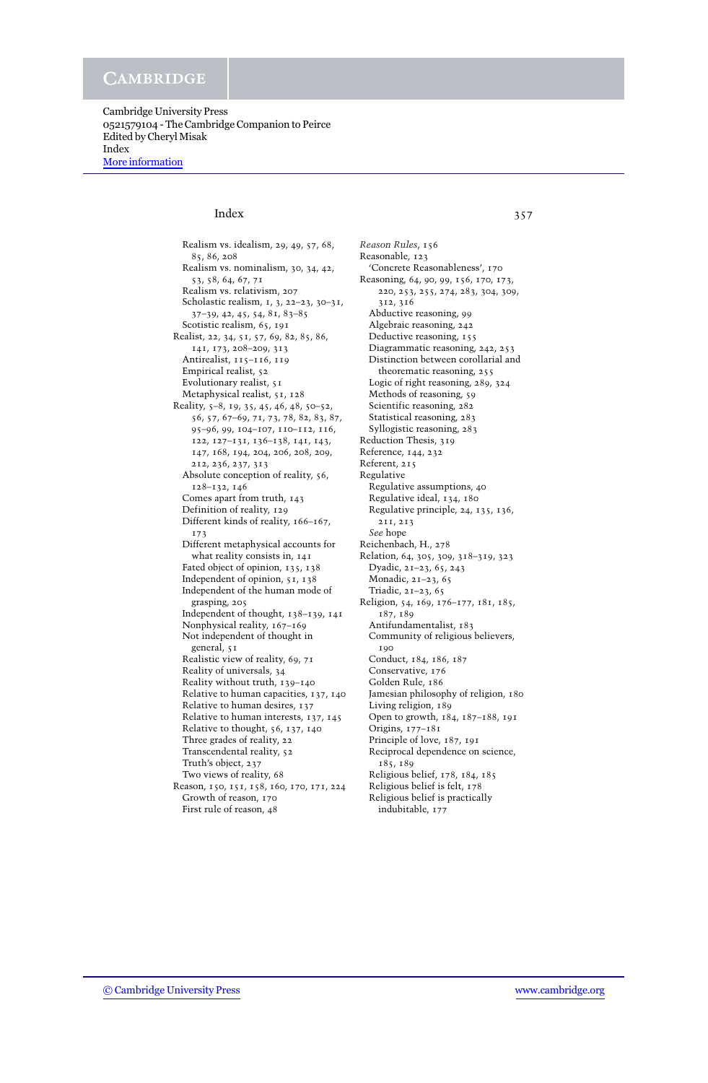Cambridge University Press 0521579104 - The Cambridge Companion to Peirce Edited by Cheryl Misak Index [More information](http://www.cambridge.org/0521579104)

# Index 357

Realism vs. idealism, 29, 49, 57, 68, 85, 86, 208 Realism vs. nominalism, 30, 34, 42, 53, 58, 64, 67, 71 Realism vs. relativism, 207 Scholastic realism, 1, 3, 22–23, 30–31, 37–39, 42, 45, 54, 81, 83–85 Scotistic realism, 65, 191 Realist, 22, 34, 51, 57, 69, 82, 85, 86, 141, 173, 208–209, 313 Antirealist, 115–116, 119 Empirical realist, 52 Evolutionary realist, 51 Metaphysical realist, 51, 128 Reality, 5–8, 19, 35, 45, 46, 48, 50–52, 56, 57, 67–69, 71, 73, 78, 82, 83, 87, 95–96, 99, 104–107, 110–112, 116, 122, 127–131, 136–138, 141, 143, 147, 168, 194, 204, 206, 208, 209, 212, 236, 237, 313 Absolute conception of reality, 56, 128–132, 146 Comes apart from truth, 143 Definition of reality, 129 Different kinds of reality, 166–167, 173 Different metaphysical accounts for what reality consists in, 141 Fated object of opinion, 135, 138 Independent of opinion, 51, 138 Independent of the human mode of grasping, 205 Independent of thought, 138–139, 141 Nonphysical reality, 167–169 Not independent of thought in general, 51 Realistic view of reality, 69, 71 Reality of universals, 34 Reality without truth, 139–140 Relative to human capacities, 137, 140 Relative to human desires, 137 Relative to human interests, 137, 145 Relative to thought, 56, 137, 140 Three grades of reality, 22 Transcendental reality, 52 Truth's object, 237 Two views of reality, 68 Reason, 150, 151, 158, 160, 170, 171, 224 Growth of reason, 170 First rule of reason, 48

*Reason Rules*, 156 Reasonable, 123 'Concrete Reasonableness', 170 Reasoning, 64, 90, 99, 156, 170, 173, 220, 253, 255, 274, 283, 304, 309, 312, 316 Abductive reasoning, 99 Algebraic reasoning, 242 Deductive reasoning, 155 Diagrammatic reasoning, 242, 253 Distinction between corollarial and theorematic reasoning, 255 Logic of right reasoning, 289, 324 Methods of reasoning, 59 Scientific reasoning, 282 Statistical reasoning, 283 Syllogistic reasoning, 283 Reduction Thesis, 319 Reference, 144, 232 Referent, 215 Regulative Regulative assumptions, 40 Regulative ideal, 134, 180 Regulative principle, 24, 135, 136, 211, 213 *See* hope Reichenbach, H., 278 Relation, 64, 305, 309, 318–319, 323 Dyadic, 21–23, 65, 243 Monadic, 21–23, 65 Triadic, 21–23, 65 Religion, 54, 169, 176–177, 181, 185, 187, 189 Antifundamentalist, 183 Community of religious believers, 190 Conduct, 184, 186, 187 Conservative, 176 Golden Rule, 186 Jamesian philosophy of religion, 180 Living religion, 189 Open to growth, 184, 187–188, 191 Origins, 177–181 Principle of love, 187, 191 Reciprocal dependence on science, 185, 189 Religious belief, 178, 184, 185 Religious belief is felt, 178 Religious belief is practically

indubitable, 177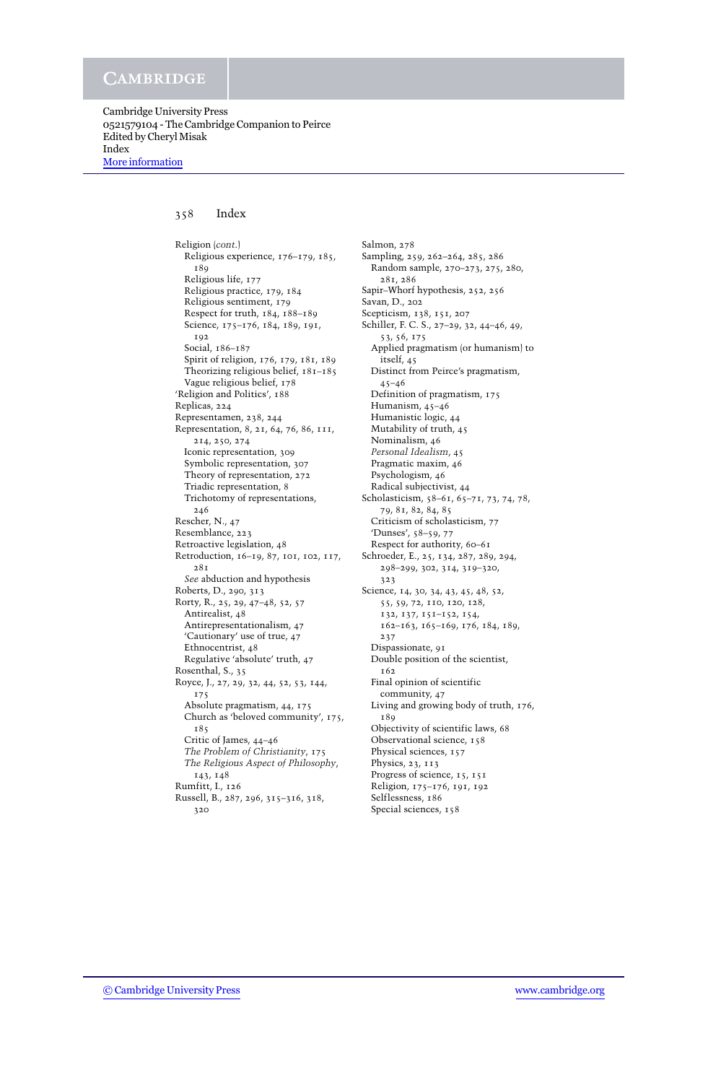## 358 Index

Religion (*cont*.) Religious experience, 176–179, 185, 189 Religious life, 177 Religious practice, 179, 184 Religious sentiment, 179 Respect for truth, 184, 188–189 Science, 175–176, 184, 189, 191, 192 Social, 186–187 Spirit of religion, 176, 179, 181, 189 Theorizing religious belief, 181–185 Vague religious belief, 178 'Religion and Politics', 188 Replicas, 224 Representamen, 238, 244 Representation, 8, 21, 64, 76, 86, 111, 214, 250, 274 Iconic representation, 309 Symbolic representation, 307 Theory of representation, 272 Triadic representation, 8 Trichotomy of representations, 246 Rescher, N., 47 Resemblance, 223 Retroactive legislation, 48 Retroduction, 16–19, 87, 101, 102, 117, 281 *See* abduction and hypothesis Roberts, D., 290, 313 Rorty, R., 25, 29, 47–48, 52, 57 Antirealist, 48 Antirepresentationalism, 47 'Cautionary' use of true, 47 Ethnocentrist, 48 Regulative 'absolute' truth, 47 Rosenthal, S., 35 Royce, J., 27, 29, 32, 44, 52, 53, 144, 175 Absolute pragmatism, 44, 175 Church as 'beloved community', 175, 185 Critic of James, 44–46 *The Problem of Christianity*, 175 *The Religious Aspect of Philosophy*, 143, 148 Rumfitt, I., 126 Russell, B., 287, 296, 315–316, 318, 320

Salmon, 278 Sampling, 259, 262–264, 285, 286 Random sample, 270–273, 275, 280, 281, 286 Sapir–Whorf hypothesis, 252, 256 Savan, D., 202 Scepticism, 138, 151, 207 Schiller, F. C. S., 27–29, 32, 44–46, 49, 53, 56, 175 Applied pragmatism (or humanism) to itself, 45 Distinct from Peirce's pragmatism, 45–46 Definition of pragmatism, 175 Humanism, 45–46 Humanistic logic, 44 Mutability of truth, 45 Nominalism, 46 *Personal Idealism*, 45 Pragmatic maxim, 46 Psychologism, 46 Radical subjectivist, 44 Scholasticism, 58–61, 65–71, 73, 74, 78, 79, 81, 82, 84, 85 Criticism of scholasticism, 77 'Dunses', 58–59, 77 Respect for authority, 60–61 Schroeder, E., 25, 134, 287, 289, 294, 298–299, 302, 314, 319–320, 323 Science, 14, 30, 34, 43, 45, 48, 52, 55, 59, 72, 110, 120, 128, 132, 137, 151–152, 154, 162–163, 165–169, 176, 184, 189, 237 Dispassionate, 91 Double position of the scientist, 162 Final opinion of scientific community, 47 Living and growing body of truth, 176, 189 Objectivity of scientific laws, 68 Observational science, 158 Physical sciences, 157 Physics, 23, 113 Progress of science, 15, 151 Religion, 175–176, 191, 192 Selflessness, 186 Special sciences, 158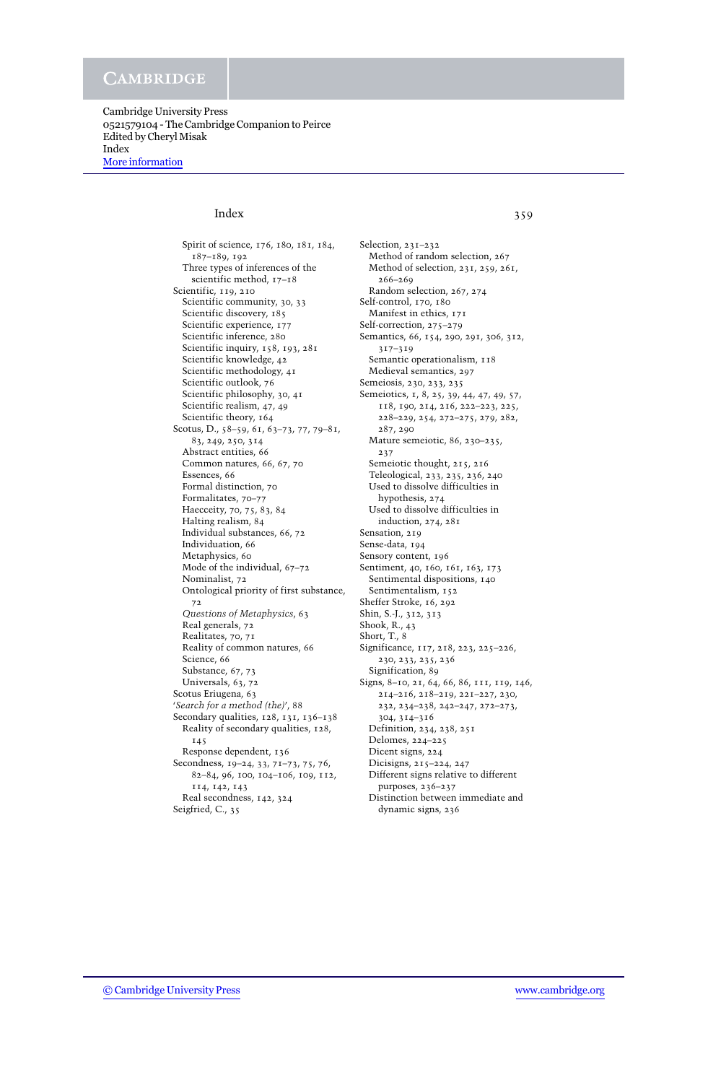Cambridge University Press 0521579104 - The Cambridge Companion to Peirce Edited by Cheryl Misak Index [More information](http://www.cambridge.org/0521579104)

# Index 359

Spirit of science, 176, 180, 181, 184, 187–189, 192 Three types of inferences of the scientific method, 17–18 Scientific, 119, 210 Scientific community, 30, 33 Scientific discovery, 185 Scientific experience, 177 Scientific inference, 280 Scientific inquiry, 158, 193, 281 Scientific knowledge, 42 Scientific methodology, 41 Scientific outlook, 76 Scientific philosophy, 30, 41 Scientific realism, 47, 49 Scientific theory, 164 Scotus, D., 58–59, 61, 63–73, 77, 79–81, 83, 249, 250, 314 Abstract entities, 66 Common natures, 66, 67, 70 Essences, 66 Formal distinction, 70 Formalitates, 70–77 Haecceity, 70, 75, 83, 84 Halting realism, 84 Individual substances, 66, 72 Individuation, 66 Metaphysics, 60 Mode of the individual, 67–72 Nominalist, 72 Ontological priority of first substance, 72 *Questions of Metaphysics*, 63 Real generals, 72 Realitates, 70, 71 Reality of common natures, 66 Science, 66 Substance, 67, 73 Universals, 63, 72 Scotus Eriugena, 63 '*Search for a method (the)*', 88 Secondary qualities, 128, 131, 136–138 Reality of secondary qualities, 128, 145 Response dependent, 136 Secondness, 19–24, 33, 71–73, 75, 76, 82–84, 96, 100, 104–106, 109, 112, 114, 142, 143 Real secondness, 142, 324 Seigfried, C., 35

Selection, 231–232 Method of random selection, 267 Method of selection, 231, 259, 261, 266–269 Random selection, 267, 274 Self-control, 170, 180 Manifest in ethics, 171 Self-correction, 275–279 Semantics, 66, 154, 290, 291, 306, 312, 317–319 Semantic operationalism,  $118$ Medieval semantics, 297 Semeiosis, 230, 233, 235 Semeiotics, 1, 8, 25, 39, 44, 47, 49, 57, 118, 190, 214, 216, 222–223, 225, 228–229, 254, 272–275, 279, 282, 287, 290 Mature semeiotic, 86, 230–235, 237 Semeiotic thought, 215, 216 Teleological, 233, 235, 236, 240 Used to dissolve difficulties in hypothesis, 274 Used to dissolve difficulties in induction, 274, 281 Sensation, 219 Sense-data, 194 Sensory content, 196 Sentiment, 40, 160, 161, 163, 173 Sentimental dispositions, 140 Sentimentalism, 152 Sheffer Stroke, 16, 292 Shin, S.-J., 312, 313 Shook, R., 43 Short, T., 8 Significance, 117, 218, 223, 225-226, 230, 233, 235, 236 Signification, 89 Signs, 8–10, 21, 64, 66, 86, 111, 119, 146, 214–216, 218–219, 221–227, 230, 232, 234–238, 242–247, 272–273, 304, 314–316 Definition, 234, 238, 251 Delomes, 224–225 Dicent signs, 224 Dicisigns, 215–224, 247 Different signs relative to different purposes, 236–237 Distinction between immediate and dynamic signs, 236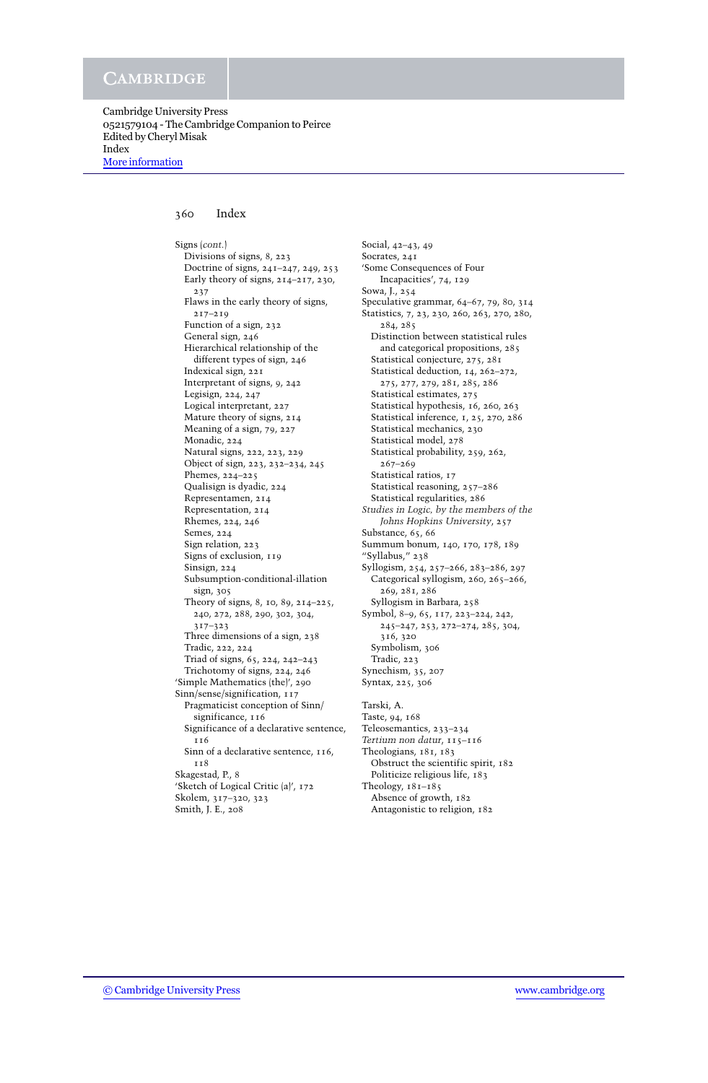## 360 Index

Signs (*cont.*) Divisions of signs, 8, 223 Doctrine of signs, 241–247, 249, 253 Early theory of signs, 214–217, 230, 237 Flaws in the early theory of signs, 217–219 Function of a sign, 232 General sign, 246 Hierarchical relationship of the different types of sign, 246 Indexical sign, 221 Interpretant of signs, 9, 242 Legisign, 224, 247 Logical interpretant, 227 Mature theory of signs, 214 Meaning of a sign, 79, 227 Monadic, 224 Natural signs, 222, 223, 229 Object of sign, 223, 232–234, 245 Phemes, 224–225 Qualisign is dyadic, 224 Representamen, 214 Representation, 214 Rhemes, 224, 246 Semes, 224 Sign relation, 223 Signs of exclusion, 119 Sinsign, 224 Subsumption-conditional-illation sign, 305 Theory of signs, 8, 10, 89, 214–225, 240, 272, 288, 290, 302, 304, 317–323 Three dimensions of a sign, 238 Tradic, 222, 224 Triad of signs, 65, 224, 242–243 Trichotomy of signs, 224, 246 'Simple Mathematics (the)', 290 Sinn/sense/signification, 117 Pragmaticist conception of Sinn/ significance, 116 Significance of a declarative sentence, 116 Sinn of a declarative sentence, 116, 118 Skagestad, P., 8 'Sketch of Logical Critic (a)', 172 Skolem, 317–320, 323 Smith, J. E., 208

Social, 42–43, 49 Socrates, 241 'Some Consequences of Four Incapacities', 74, 129 Sowa, J., 254 Speculative grammar, 64–67, 79, 80, 314 Statistics, 7, 23, 230, 260, 263, 270, 280, 284, 285 Distinction between statistical rules and categorical propositions, 285 Statistical conjecture, 275, 281 Statistical deduction, 14, 262–272, 275, 277, 279, 281, 285, 286 Statistical estimates, 275 Statistical hypothesis, 16, 260, 263 Statistical inference, 1, 25, 270, 286 Statistical mechanics, 230 Statistical model, 278 Statistical probability, 259, 262, 267–269 Statistical ratios, 17 Statistical reasoning, 257–286 Statistical regularities, 286 *Studies in Logic, by the members of the Johns Hopkins University*, 257 Substance, 65, 66 Summum bonum, 140, 170, 178, 189 "Syllabus," 238 Syllogism, 254, 257–266, 283–286, 297 Categorical syllogism, 260, 265-266, 269, 281, 286 Syllogism in Barbara, 258 Symbol, 8–9, 65, 117, 223–224, 242, 245–247, 253, 272–274, 285, 304, 316, 320 Symbolism, 306 Tradic, 223 Synechism, 35, 207 Syntax, 225, 306 Tarski, A. Taste, 94, 168 Teleosemantics, 233–234 *Tertium non datur*, 115–116 Theologians, 181, 183 Obstruct the scientific spirit, 182 Politicize religious life, 183 Theology, 181–185 Absence of growth, 182

Antagonistic to religion, 182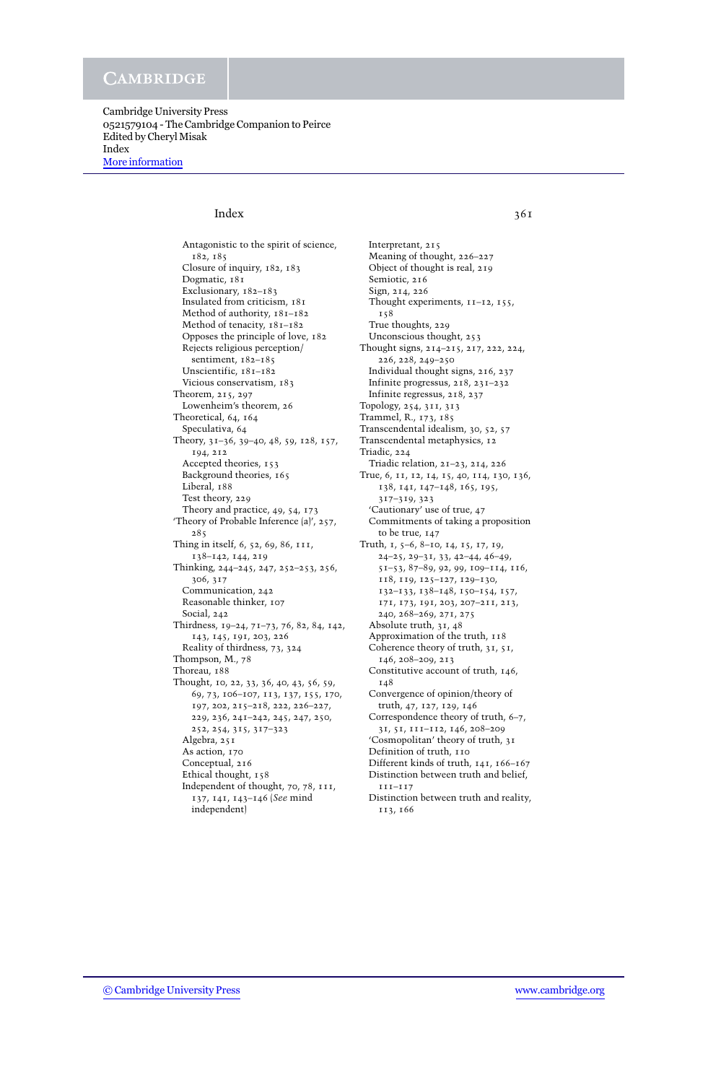Cambridge University Press 0521579104 - The Cambridge Companion to Peirce Edited by Cheryl Misak Index [More information](http://www.cambridge.org/0521579104)

# $Index$  361

Antagonistic to the spirit of science, 182, 185 Closure of inquiry, 182, 183 Dogmatic, 181 Exclusionary, 182–183 Insulated from criticism, 181 Method of authority, 181–182 Method of tenacity, 181–182 Opposes the principle of love, 182 Rejects religious perception/ sentiment, 182–185 Unscientific, 181–182 Vicious conservatism, 183 Theorem, 215, 297 Lowenheim's theorem, 26 Theoretical, 64, 164 Speculativa, 64 Theory, 31–36, 39–40, 48, 59, 128, 157, 194, 212 Accepted theories, 153 Background theories, 165 Liberal, 188 Test theory, 229 Theory and practice, 49, 54, 173 'Theory of Probable Inference (a)', 257, 285 Thing in itself, 6, 52, 69, 86, 111, 138–142, 144, 219 Thinking, 244–245, 247, 252–253, 256, 306, 317 Communication, 242 Reasonable thinker, 107 Social, 242 Thirdness, 19–24, 71–73, 76, 82, 84, 142, 143, 145, 191, 203, 226 Reality of thirdness, 73, 324 Thompson, M., 78 Thoreau, 188 Thought, 10, 22, 33, 36, 40, 43, 56, 59, 69, 73, 106–107, 113, 137, 155, 170, 197, 202, 215–218, 222, 226–227, 229, 236, 241–242, 245, 247, 250, 252, 254, 315, 317–323 Algebra, 251 As action, 170 Conceptual, 216 Ethical thought, 158 Independent of thought, 70, 78, 111, 137, 141, 143–146 (*See* mind independent)

Interpretant, 215 Meaning of thought, 226–227 Object of thought is real, 219 Semiotic, 216 Sign, 214, 226 Thought experiments, 11–12, 155, 158 True thoughts, 229 Unconscious thought, 253 Thought signs, 214–215, 217, 222, 224, 226, 228, 249–250 Individual thought signs, 216, 237 Infinite progressus, 218, 231–232 Infinite regressus, 218, 237 Topology, 254, 311, 313 Trammel, R., 173, 185 Transcendental idealism, 30, 52, 57 Transcendental metaphysics, 12 Triadic, 224 Triadic relation, 21–23, 214, 226 True, 6, 11, 12, 14, 15, 40, 114, 130, 136, 138, 141, 147–148, 165, 195, 317–319, 323 'Cautionary' use of true, 47 Commitments of taking a proposition to be true, 147 Truth, 1, 5–6, 8–10, 14, 15, 17, 19, 24–25, 29–31, 33, 42–44, 46–49, 51–53, 87–89, 92, 99, 109–114, 116, 118, 119, 125–127, 129–130, 132–133, 138–148, 150–154, 157, 171, 173, 191, 203, 207–211, 213, 240, 268–269, 271, 275 Absolute truth, 31, 48 Approximation of the truth, 118 Coherence theory of truth, 31, 51, 146, 208–209, 213 Constitutive account of truth, 146, 148 Convergence of opinion/theory of truth, 47, 127, 129, 146 Correspondence theory of truth, 6–7, 31, 51, 111–112, 146, 208–209 'Cosmopolitan' theory of truth, 31 Definition of truth, 110 Different kinds of truth, 141, 166–167 Distinction between truth and belief, 111–117 Distinction between truth and reality, 113, 166